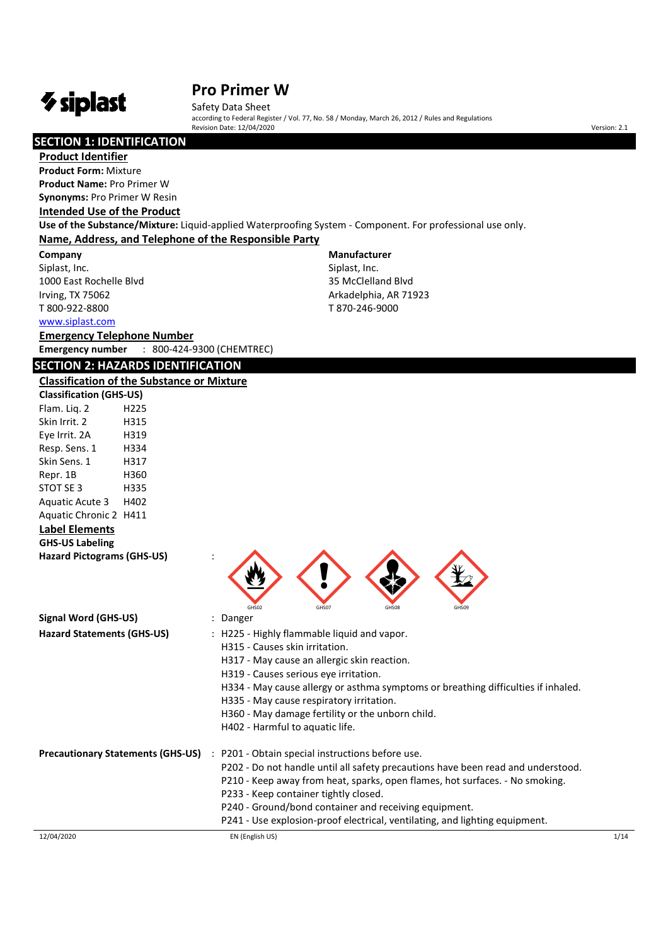# *V* siplast

# **Pro Primer W**

Safety Data Sheet according to Federal Register / Vol. 77, No. 58 / Monday, March 26, 2012 / Rules and Regulations Revision Date: 12/04/2020 version: 2.1

> **Manufacturer**  Siplast, Inc. 35 McClelland Blvd Arkadelphia, AR 71923 T 870-246-9000

# **SECTION 1: IDENTIFICATION**

**Product Identifier** 

**Product Form:** Mixture **Product Name:** Pro Primer W **Synonyms:** Pro Primer W Resin

### **Intended Use of the Product**

**Use of the Substance/Mixture:** Liquid-applied Waterproofing System - Component. For professional use only. **Name, Address, and Telephone of the Responsible Party**

**Company**  Siplast, Inc. 1000 East Rochelle Blvd Irving, TX 75062 T 800-922-8800

www.siplast.com

**Emergency Telephone Number Emergency number** : 800-424-9300 (CHEMTREC)

# **SECTION 2: HAZARDS IDENTIFICATION**

**Classification of the Substance or Mixture** 

| <b>Classification (GHS-US)</b>           |                  |                                                                                   |
|------------------------------------------|------------------|-----------------------------------------------------------------------------------|
| Flam. Liq. 2                             | H <sub>225</sub> |                                                                                   |
| Skin Irrit. 2                            | H315             |                                                                                   |
| Eye Irrit. 2A                            | H319             |                                                                                   |
| Resp. Sens. 1                            | H334             |                                                                                   |
| Skin Sens. 1                             | H317             |                                                                                   |
| Repr. 1B                                 | H360             |                                                                                   |
| STOT SE 3                                | H335             |                                                                                   |
| Aquatic Acute 3                          | H402             |                                                                                   |
| Aquatic Chronic 2 H411                   |                  |                                                                                   |
| <b>Label Elements</b>                    |                  |                                                                                   |
| <b>GHS-US Labeling</b>                   |                  |                                                                                   |
| <b>Hazard Pictograms (GHS-US)</b>        |                  |                                                                                   |
|                                          |                  | GHS03<br>GHS07<br>GHS09<br><b>GHS08</b>                                           |
| Signal Word (GHS-US)                     |                  | : Danger                                                                          |
| <b>Hazard Statements (GHS-US)</b>        |                  | : H225 - Highly flammable liquid and vapor.                                       |
|                                          |                  | H315 - Causes skin irritation.                                                    |
|                                          |                  | H317 - May cause an allergic skin reaction.                                       |
|                                          |                  | H319 - Causes serious eye irritation.                                             |
|                                          |                  | H334 - May cause allergy or asthma symptoms or breathing difficulties if inhaled. |
|                                          |                  | H335 - May cause respiratory irritation.                                          |
|                                          |                  | H360 - May damage fertility or the unborn child.                                  |
|                                          |                  | H402 - Harmful to aquatic life.                                                   |
| <b>Precautionary Statements (GHS-US)</b> |                  | P201 - Obtain special instructions before use.<br>$\cdot$ :                       |
|                                          |                  | P202 - Do not handle until all safety precautions have been read and understood.  |
|                                          |                  | P210 - Keep away from heat, sparks, open flames, hot surfaces. - No smoking.      |
|                                          |                  | P233 - Keep container tightly closed.                                             |
|                                          |                  | P240 - Ground/bond container and receiving equipment.                             |
|                                          |                  | P241 - Use explosion-proof electrical, ventilating, and lighting equipment.       |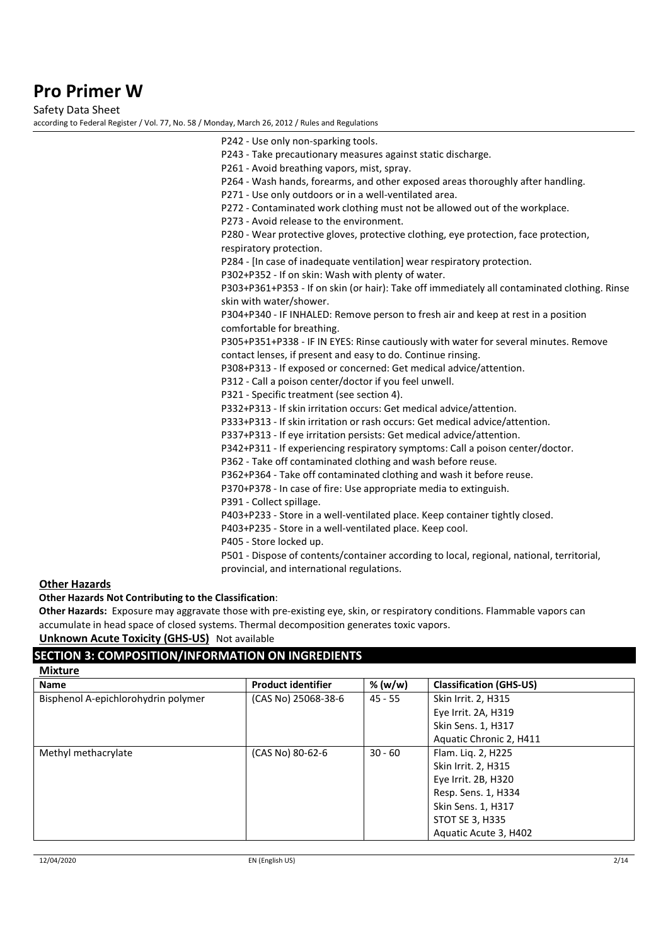Safety Data Sheet

according to Federal Register / Vol. 77, No. 58 / Monday, March 26, 2012 / Rules and Regulations

| P243 - Take precautionary measures against static discharge.<br>P261 - Avoid breathing vapors, mist, spray.<br>P264 - Wash hands, forearms, and other exposed areas thoroughly after handling.<br>P271 - Use only outdoors or in a well-ventilated area.<br>P272 - Contaminated work clothing must not be allowed out of the workplace.<br>P273 - Avoid release to the environment.<br>P280 - Wear protective gloves, protective clothing, eye protection, face protection,<br>respiratory protection.<br>P284 - [In case of inadequate ventilation] wear respiratory protection.<br>P302+P352 - If on skin: Wash with plenty of water.<br>P303+P361+P353 - If on skin (or hair): Take off immediately all contaminated clothing. Rinse<br>skin with water/shower.<br>P304+P340 - IF INHALED: Remove person to fresh air and keep at rest in a position<br>comfortable for breathing.<br>P305+P351+P338 - IF IN EYES: Rinse cautiously with water for several minutes. Remove<br>contact lenses, if present and easy to do. Continue rinsing.<br>P308+P313 - If exposed or concerned: Get medical advice/attention.<br>P312 - Call a poison center/doctor if you feel unwell.<br>P321 - Specific treatment (see section 4).<br>P332+P313 - If skin irritation occurs: Get medical advice/attention.<br>P333+P313 - If skin irritation or rash occurs: Get medical advice/attention.<br>P337+P313 - If eye irritation persists: Get medical advice/attention.<br>P342+P311 - If experiencing respiratory symptoms: Call a poison center/doctor.<br>P362 - Take off contaminated clothing and wash before reuse.<br>P362+P364 - Take off contaminated clothing and wash it before reuse.<br>P370+P378 - In case of fire: Use appropriate media to extinguish.<br>P391 - Collect spillage. |  |
|-----------------------------------------------------------------------------------------------------------------------------------------------------------------------------------------------------------------------------------------------------------------------------------------------------------------------------------------------------------------------------------------------------------------------------------------------------------------------------------------------------------------------------------------------------------------------------------------------------------------------------------------------------------------------------------------------------------------------------------------------------------------------------------------------------------------------------------------------------------------------------------------------------------------------------------------------------------------------------------------------------------------------------------------------------------------------------------------------------------------------------------------------------------------------------------------------------------------------------------------------------------------------------------------------------------------------------------------------------------------------------------------------------------------------------------------------------------------------------------------------------------------------------------------------------------------------------------------------------------------------------------------------------------------------------------------------------------------------------------------------------------------------------------------|--|
|                                                                                                                                                                                                                                                                                                                                                                                                                                                                                                                                                                                                                                                                                                                                                                                                                                                                                                                                                                                                                                                                                                                                                                                                                                                                                                                                                                                                                                                                                                                                                                                                                                                                                                                                                                                         |  |
|                                                                                                                                                                                                                                                                                                                                                                                                                                                                                                                                                                                                                                                                                                                                                                                                                                                                                                                                                                                                                                                                                                                                                                                                                                                                                                                                                                                                                                                                                                                                                                                                                                                                                                                                                                                         |  |
|                                                                                                                                                                                                                                                                                                                                                                                                                                                                                                                                                                                                                                                                                                                                                                                                                                                                                                                                                                                                                                                                                                                                                                                                                                                                                                                                                                                                                                                                                                                                                                                                                                                                                                                                                                                         |  |
|                                                                                                                                                                                                                                                                                                                                                                                                                                                                                                                                                                                                                                                                                                                                                                                                                                                                                                                                                                                                                                                                                                                                                                                                                                                                                                                                                                                                                                                                                                                                                                                                                                                                                                                                                                                         |  |
|                                                                                                                                                                                                                                                                                                                                                                                                                                                                                                                                                                                                                                                                                                                                                                                                                                                                                                                                                                                                                                                                                                                                                                                                                                                                                                                                                                                                                                                                                                                                                                                                                                                                                                                                                                                         |  |
|                                                                                                                                                                                                                                                                                                                                                                                                                                                                                                                                                                                                                                                                                                                                                                                                                                                                                                                                                                                                                                                                                                                                                                                                                                                                                                                                                                                                                                                                                                                                                                                                                                                                                                                                                                                         |  |
|                                                                                                                                                                                                                                                                                                                                                                                                                                                                                                                                                                                                                                                                                                                                                                                                                                                                                                                                                                                                                                                                                                                                                                                                                                                                                                                                                                                                                                                                                                                                                                                                                                                                                                                                                                                         |  |
|                                                                                                                                                                                                                                                                                                                                                                                                                                                                                                                                                                                                                                                                                                                                                                                                                                                                                                                                                                                                                                                                                                                                                                                                                                                                                                                                                                                                                                                                                                                                                                                                                                                                                                                                                                                         |  |
|                                                                                                                                                                                                                                                                                                                                                                                                                                                                                                                                                                                                                                                                                                                                                                                                                                                                                                                                                                                                                                                                                                                                                                                                                                                                                                                                                                                                                                                                                                                                                                                                                                                                                                                                                                                         |  |
|                                                                                                                                                                                                                                                                                                                                                                                                                                                                                                                                                                                                                                                                                                                                                                                                                                                                                                                                                                                                                                                                                                                                                                                                                                                                                                                                                                                                                                                                                                                                                                                                                                                                                                                                                                                         |  |
|                                                                                                                                                                                                                                                                                                                                                                                                                                                                                                                                                                                                                                                                                                                                                                                                                                                                                                                                                                                                                                                                                                                                                                                                                                                                                                                                                                                                                                                                                                                                                                                                                                                                                                                                                                                         |  |
|                                                                                                                                                                                                                                                                                                                                                                                                                                                                                                                                                                                                                                                                                                                                                                                                                                                                                                                                                                                                                                                                                                                                                                                                                                                                                                                                                                                                                                                                                                                                                                                                                                                                                                                                                                                         |  |
|                                                                                                                                                                                                                                                                                                                                                                                                                                                                                                                                                                                                                                                                                                                                                                                                                                                                                                                                                                                                                                                                                                                                                                                                                                                                                                                                                                                                                                                                                                                                                                                                                                                                                                                                                                                         |  |
|                                                                                                                                                                                                                                                                                                                                                                                                                                                                                                                                                                                                                                                                                                                                                                                                                                                                                                                                                                                                                                                                                                                                                                                                                                                                                                                                                                                                                                                                                                                                                                                                                                                                                                                                                                                         |  |
|                                                                                                                                                                                                                                                                                                                                                                                                                                                                                                                                                                                                                                                                                                                                                                                                                                                                                                                                                                                                                                                                                                                                                                                                                                                                                                                                                                                                                                                                                                                                                                                                                                                                                                                                                                                         |  |
|                                                                                                                                                                                                                                                                                                                                                                                                                                                                                                                                                                                                                                                                                                                                                                                                                                                                                                                                                                                                                                                                                                                                                                                                                                                                                                                                                                                                                                                                                                                                                                                                                                                                                                                                                                                         |  |
|                                                                                                                                                                                                                                                                                                                                                                                                                                                                                                                                                                                                                                                                                                                                                                                                                                                                                                                                                                                                                                                                                                                                                                                                                                                                                                                                                                                                                                                                                                                                                                                                                                                                                                                                                                                         |  |
|                                                                                                                                                                                                                                                                                                                                                                                                                                                                                                                                                                                                                                                                                                                                                                                                                                                                                                                                                                                                                                                                                                                                                                                                                                                                                                                                                                                                                                                                                                                                                                                                                                                                                                                                                                                         |  |
|                                                                                                                                                                                                                                                                                                                                                                                                                                                                                                                                                                                                                                                                                                                                                                                                                                                                                                                                                                                                                                                                                                                                                                                                                                                                                                                                                                                                                                                                                                                                                                                                                                                                                                                                                                                         |  |
|                                                                                                                                                                                                                                                                                                                                                                                                                                                                                                                                                                                                                                                                                                                                                                                                                                                                                                                                                                                                                                                                                                                                                                                                                                                                                                                                                                                                                                                                                                                                                                                                                                                                                                                                                                                         |  |
|                                                                                                                                                                                                                                                                                                                                                                                                                                                                                                                                                                                                                                                                                                                                                                                                                                                                                                                                                                                                                                                                                                                                                                                                                                                                                                                                                                                                                                                                                                                                                                                                                                                                                                                                                                                         |  |
|                                                                                                                                                                                                                                                                                                                                                                                                                                                                                                                                                                                                                                                                                                                                                                                                                                                                                                                                                                                                                                                                                                                                                                                                                                                                                                                                                                                                                                                                                                                                                                                                                                                                                                                                                                                         |  |
|                                                                                                                                                                                                                                                                                                                                                                                                                                                                                                                                                                                                                                                                                                                                                                                                                                                                                                                                                                                                                                                                                                                                                                                                                                                                                                                                                                                                                                                                                                                                                                                                                                                                                                                                                                                         |  |
|                                                                                                                                                                                                                                                                                                                                                                                                                                                                                                                                                                                                                                                                                                                                                                                                                                                                                                                                                                                                                                                                                                                                                                                                                                                                                                                                                                                                                                                                                                                                                                                                                                                                                                                                                                                         |  |
|                                                                                                                                                                                                                                                                                                                                                                                                                                                                                                                                                                                                                                                                                                                                                                                                                                                                                                                                                                                                                                                                                                                                                                                                                                                                                                                                                                                                                                                                                                                                                                                                                                                                                                                                                                                         |  |
|                                                                                                                                                                                                                                                                                                                                                                                                                                                                                                                                                                                                                                                                                                                                                                                                                                                                                                                                                                                                                                                                                                                                                                                                                                                                                                                                                                                                                                                                                                                                                                                                                                                                                                                                                                                         |  |
|                                                                                                                                                                                                                                                                                                                                                                                                                                                                                                                                                                                                                                                                                                                                                                                                                                                                                                                                                                                                                                                                                                                                                                                                                                                                                                                                                                                                                                                                                                                                                                                                                                                                                                                                                                                         |  |
| P403+P233 - Store in a well-ventilated place. Keep container tightly closed.                                                                                                                                                                                                                                                                                                                                                                                                                                                                                                                                                                                                                                                                                                                                                                                                                                                                                                                                                                                                                                                                                                                                                                                                                                                                                                                                                                                                                                                                                                                                                                                                                                                                                                            |  |
| P403+P235 - Store in a well-ventilated place. Keep cool.                                                                                                                                                                                                                                                                                                                                                                                                                                                                                                                                                                                                                                                                                                                                                                                                                                                                                                                                                                                                                                                                                                                                                                                                                                                                                                                                                                                                                                                                                                                                                                                                                                                                                                                                |  |
| P405 - Store locked up.                                                                                                                                                                                                                                                                                                                                                                                                                                                                                                                                                                                                                                                                                                                                                                                                                                                                                                                                                                                                                                                                                                                                                                                                                                                                                                                                                                                                                                                                                                                                                                                                                                                                                                                                                                 |  |
| P501 - Dispose of contents/container according to local, regional, national, territorial,                                                                                                                                                                                                                                                                                                                                                                                                                                                                                                                                                                                                                                                                                                                                                                                                                                                                                                                                                                                                                                                                                                                                                                                                                                                                                                                                                                                                                                                                                                                                                                                                                                                                                               |  |
| provincial, and international regulations.                                                                                                                                                                                                                                                                                                                                                                                                                                                                                                                                                                                                                                                                                                                                                                                                                                                                                                                                                                                                                                                                                                                                                                                                                                                                                                                                                                                                                                                                                                                                                                                                                                                                                                                                              |  |

#### **Other Hazards**

#### **Other Hazards Not Contributing to the Classification**:

**Other Hazards:** Exposure may aggravate those with pre-existing eye, skin, or respiratory conditions. Flammable vapors can accumulate in head space of closed systems. Thermal decomposition generates toxic vapors.

# **Unknown Acute Toxicity (GHS-US)** Not available

# **SECTION 3: COMPOSITION/INFORMATION ON INGREDIENTS**

| <b>Mixture</b>                      |                           |           |                                |
|-------------------------------------|---------------------------|-----------|--------------------------------|
| <b>Name</b>                         | <b>Product identifier</b> | % (w/w)   | <b>Classification (GHS-US)</b> |
| Bisphenol A-epichlorohydrin polymer | (CAS No) 25068-38-6       | $45 - 55$ | Skin Irrit. 2, H315            |
|                                     |                           |           | Eye Irrit. 2A, H319            |
|                                     |                           |           | Skin Sens. 1, H317             |
|                                     |                           |           | Aquatic Chronic 2, H411        |
| Methyl methacrylate                 | (CAS No) 80-62-6          | $30 - 60$ | Flam. Liq. 2, H225             |
|                                     |                           |           | Skin Irrit. 2, H315            |
|                                     |                           |           | Eye Irrit. 2B, H320            |
|                                     |                           |           | Resp. Sens. 1, H334            |
|                                     |                           |           | Skin Sens. 1, H317             |
|                                     |                           |           | <b>STOT SE 3, H335</b>         |
|                                     |                           |           | Aquatic Acute 3, H402          |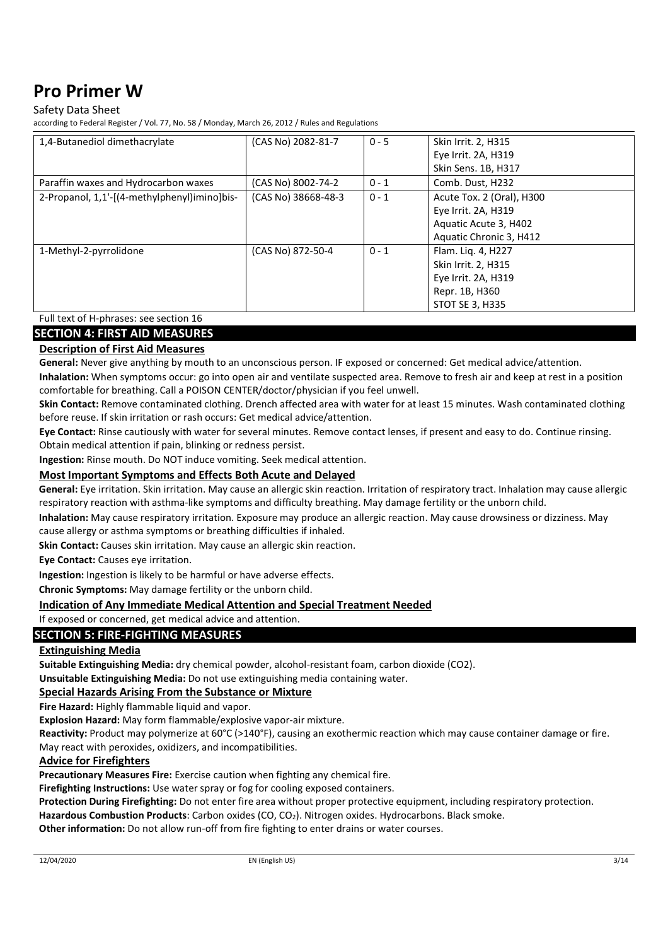### Safety Data Sheet

according to Federal Register / Vol. 77, No. 58 / Monday, March 26, 2012 / Rules and Regulations

| 1,4-Butanediol dimethacrylate                | (CAS No) 2082-81-7  | $0 - 5$ | <b>Skin Irrit. 2, H315</b> |
|----------------------------------------------|---------------------|---------|----------------------------|
|                                              |                     |         | Eye Irrit. 2A, H319        |
|                                              |                     |         | Skin Sens. 1B, H317        |
| Paraffin waxes and Hydrocarbon waxes         | (CAS No) 8002-74-2  | $0 - 1$ | Comb. Dust, H232           |
| 2-Propanol, 1,1'-[(4-methylphenyl)imino]bis- | (CAS No) 38668-48-3 | $0 - 1$ | Acute Tox. 2 (Oral), H300  |
|                                              |                     |         | Eye Irrit. 2A, H319        |
|                                              |                     |         | Aquatic Acute 3, H402      |
|                                              |                     |         | Aquatic Chronic 3, H412    |
| 1-Methyl-2-pyrrolidone                       | (CAS No) 872-50-4   | $0 - 1$ | Flam. Liq. 4, H227         |
|                                              |                     |         | <b>Skin Irrit. 2, H315</b> |
|                                              |                     |         | Eye Irrit. 2A, H319        |
|                                              |                     |         | Repr. 1B, H360             |
|                                              |                     |         | STOT SE 3, H335            |

Full text of H-phrases: see section 16

### **SECTION 4: FIRST AID MEASURES**

#### **Description of First Aid Measures**

**General:** Never give anything by mouth to an unconscious person. IF exposed or concerned: Get medical advice/attention.

**Inhalation:** When symptoms occur: go into open air and ventilate suspected area. Remove to fresh air and keep at rest in a position comfortable for breathing. Call a POISON CENTER/doctor/physician if you feel unwell.

**Skin Contact:** Remove contaminated clothing. Drench affected area with water for at least 15 minutes. Wash contaminated clothing before reuse. If skin irritation or rash occurs: Get medical advice/attention.

**Eye Contact:** Rinse cautiously with water for several minutes. Remove contact lenses, if present and easy to do. Continue rinsing. Obtain medical attention if pain, blinking or redness persist.

**Ingestion:** Rinse mouth. Do NOT induce vomiting. Seek medical attention.

#### **Most Important Symptoms and Effects Both Acute and Delayed**

**General:** Eye irritation. Skin irritation. May cause an allergic skin reaction. Irritation of respiratory tract. Inhalation may cause allergic respiratory reaction with asthma-like symptoms and difficulty breathing. May damage fertility or the unborn child.

**Inhalation:** May cause respiratory irritation. Exposure may produce an allergic reaction. May cause drowsiness or dizziness. May cause allergy or asthma symptoms or breathing difficulties if inhaled.

**Skin Contact:** Causes skin irritation. May cause an allergic skin reaction.

**Eye Contact:** Causes eye irritation.

**Ingestion:** Ingestion is likely to be harmful or have adverse effects.

**Chronic Symptoms:** May damage fertility or the unborn child.

#### **Indication of Any Immediate Medical Attention and Special Treatment Needed**

If exposed or concerned, get medical advice and attention.

### **SECTION 5: FIRE-FIGHTING MEASURES**

#### **Extinguishing Media**

**Suitable Extinguishing Media:** dry chemical powder, alcohol-resistant foam, carbon dioxide (CO2).

**Unsuitable Extinguishing Media:** Do not use extinguishing media containing water.

#### **Special Hazards Arising From the Substance or Mixture**

**Fire Hazard:** Highly flammable liquid and vapor.

**Explosion Hazard:** May form flammable/explosive vapor-air mixture.

**Reactivity:** Product may polymerize at 60°C (>140°F), causing an exothermic reaction which may cause container damage or fire. May react with peroxides, oxidizers, and incompatibilities.

#### **Advice for Firefighters**

**Precautionary Measures Fire:** Exercise caution when fighting any chemical fire.

**Firefighting Instructions:** Use water spray or fog for cooling exposed containers.

**Protection During Firefighting:** Do not enter fire area without proper protective equipment, including respiratory protection.

Hazardous Combustion Products: Carbon oxides (CO, CO<sub>2</sub>). Nitrogen oxides. Hydrocarbons. Black smoke.

**Other information:** Do not allow run-off from fire fighting to enter drains or water courses.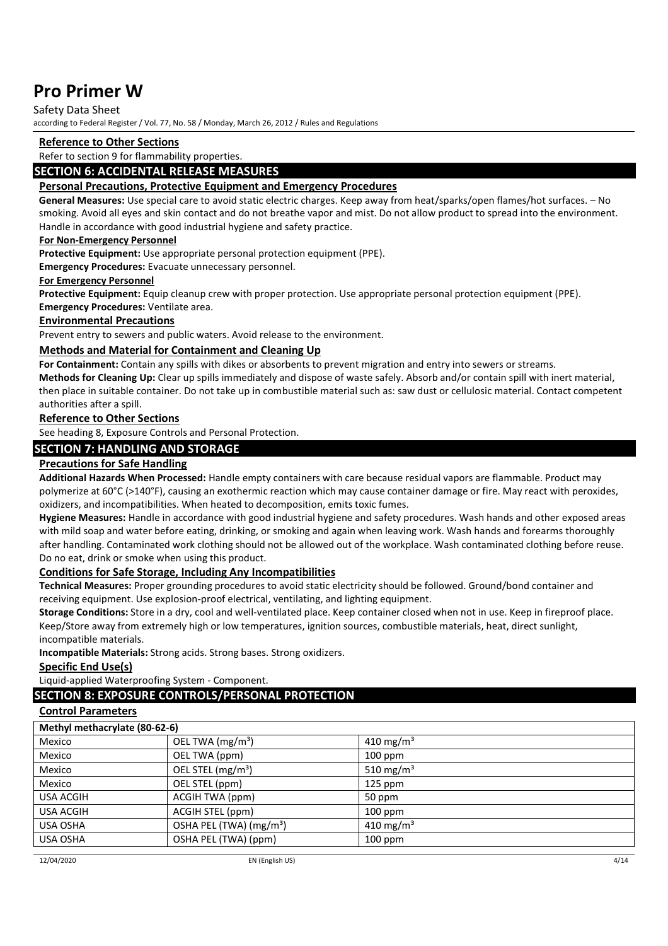#### Safety Data Sheet

according to Federal Register / Vol. 77, No. 58 / Monday, March 26, 2012 / Rules and Regulations

#### **Reference to Other Sections**

Refer to section 9 for flammability properties.

#### **SECTION 6: ACCIDENTAL RELEASE MEASURES**

#### **Personal Precautions, Protective Equipment and Emergency Procedures**

**General Measures:** Use special care to avoid static electric charges. Keep away from heat/sparks/open flames/hot surfaces. – No smoking. Avoid all eyes and skin contact and do not breathe vapor and mist. Do not allow product to spread into the environment. Handle in accordance with good industrial hygiene and safety practice.

#### **For Non-Emergency Personnel**

**Protective Equipment:** Use appropriate personal protection equipment (PPE).

**Emergency Procedures:** Evacuate unnecessary personnel.

#### **For Emergency Personnel**

**Protective Equipment:** Equip cleanup crew with proper protection. Use appropriate personal protection equipment (PPE). **Emergency Procedures:** Ventilate area.

#### **Environmental Precautions**

Prevent entry to sewers and public waters. Avoid release to the environment.

#### **Methods and Material for Containment and Cleaning Up**

**For Containment:** Contain any spills with dikes or absorbents to prevent migration and entry into sewers or streams.

**Methods for Cleaning Up:** Clear up spills immediately and dispose of waste safely. Absorb and/or contain spill with inert material, then place in suitable container. Do not take up in combustible material such as: saw dust or cellulosic material. Contact competent authorities after a spill.

#### **Reference to Other Sections**

See heading 8, Exposure Controls and Personal Protection.

### **SECTION 7: HANDLING AND STORAGE**

#### **Precautions for Safe Handling**

**Additional Hazards When Processed:** Handle empty containers with care because residual vapors are flammable. Product may polymerize at 60°C (>140°F), causing an exothermic reaction which may cause container damage or fire. May react with peroxides, oxidizers, and incompatibilities. When heated to decomposition, emits toxic fumes.

**Hygiene Measures:** Handle in accordance with good industrial hygiene and safety procedures. Wash hands and other exposed areas with mild soap and water before eating, drinking, or smoking and again when leaving work. Wash hands and forearms thoroughly after handling. Contaminated work clothing should not be allowed out of the workplace. Wash contaminated clothing before reuse. Do no eat, drink or smoke when using this product.

#### **Conditions for Safe Storage, Including Any Incompatibilities**

**Technical Measures:** Proper grounding procedures to avoid static electricity should be followed. Ground/bond container and receiving equipment. Use explosion-proof electrical, ventilating, and lighting equipment.

**Storage Conditions:** Store in a dry, cool and well-ventilated place. Keep container closed when not in use. Keep in fireproof place. Keep/Store away from extremely high or low temperatures, ignition sources, combustible materials, heat, direct sunlight, incompatible materials.

**Incompatible Materials:** Strong acids. Strong bases. Strong oxidizers.

#### **Specific End Use(s)**

Liquid-applied Waterproofing System - Component.

#### **SECTION 8: EXPOSURE CONTROLS/PERSONAL PROTECTION**

#### **Control Parameters**

| Methyl methacrylate (80-62-6)       |                       |  |  |
|-------------------------------------|-----------------------|--|--|
| OEL TWA (mg/m <sup>3</sup> )        | 410 mg/m <sup>3</sup> |  |  |
| OEL TWA (ppm)                       | $100$ ppm             |  |  |
| OEL STEL (mg/m <sup>3</sup> )       | 510 mg/m <sup>3</sup> |  |  |
| OEL STEL (ppm)                      | $125$ ppm             |  |  |
| ACGIH TWA (ppm)                     | 50 ppm                |  |  |
| ACGIH STEL (ppm)                    | $100$ ppm             |  |  |
| OSHA PEL (TWA) (mg/m <sup>3</sup> ) | 410 mg/m <sup>3</sup> |  |  |
| OSHA PEL (TWA) (ppm)                | $100$ ppm             |  |  |
|                                     |                       |  |  |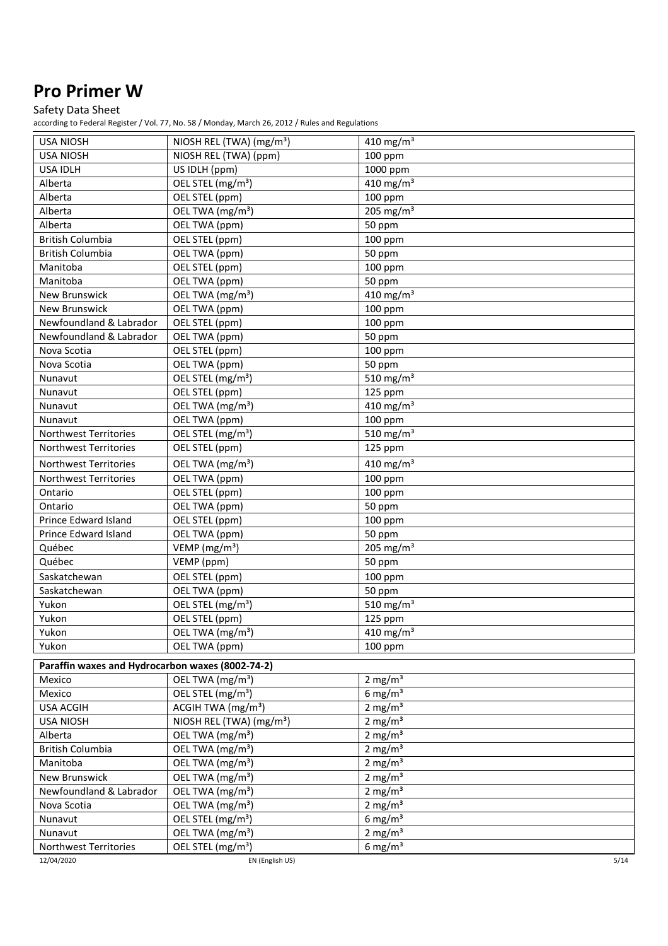# Safety Data Sheet

| <b>USA NIOSH</b>                                 | NIOSH REL (TWA) (mg/m <sup>3</sup> )        | 410 mg/m <sup>3</sup>   |  |
|--------------------------------------------------|---------------------------------------------|-------------------------|--|
| <b>USA NIOSH</b>                                 | NIOSH REL (TWA) (ppm)                       | 100 ppm                 |  |
| <b>USA IDLH</b>                                  | US IDLH (ppm)                               | 1000 ppm                |  |
| Alberta                                          | OEL STEL (mg/m <sup>3</sup> )               | 410 mg/m $3$            |  |
| Alberta                                          | OEL STEL (ppm)                              | 100 ppm                 |  |
| Alberta                                          | OEL TWA (mg/m <sup>3</sup> )                | 205 mg/m $3$            |  |
| Alberta                                          | OEL TWA (ppm)                               | 50 ppm                  |  |
| <b>British Columbia</b>                          | OEL STEL (ppm)                              | 100 ppm                 |  |
| <b>British Columbia</b>                          | OEL TWA (ppm)                               | 50 ppm                  |  |
| Manitoba                                         | OEL STEL (ppm)                              | $100$ ppm               |  |
| Manitoba                                         | OEL TWA (ppm)                               | 50 ppm                  |  |
| New Brunswick                                    | OEL TWA (mg/m <sup>3</sup> )                | 410 mg/m <sup>3</sup>   |  |
| New Brunswick                                    | OEL TWA (ppm)                               | 100 ppm                 |  |
| Newfoundland & Labrador                          | OEL STEL (ppm)                              | 100 ppm                 |  |
| Newfoundland & Labrador                          | OEL TWA (ppm)                               | 50 ppm                  |  |
| Nova Scotia                                      | OEL STEL (ppm)                              | 100 ppm                 |  |
| Nova Scotia                                      | OEL TWA (ppm)                               | 50 ppm                  |  |
| Nunavut                                          | $\overline{OE}$ L STEL (mg/m <sup>3</sup> ) | 510 mg/m $3$            |  |
| Nunavut                                          | OEL STEL (ppm)                              | 125 ppm                 |  |
| Nunavut                                          | OEL TWA (mg/m <sup>3</sup> )                | 410 mg/m $3$            |  |
| Nunavut                                          | OEL TWA (ppm)                               | 100 ppm                 |  |
| Northwest Territories                            | OEL STEL (mg/m <sup>3</sup> )               | 510 mg/m $3$            |  |
| <b>Northwest Territories</b>                     | OEL STEL (ppm)                              | 125 ppm                 |  |
| Northwest Territories                            | OEL TWA (mg/m <sup>3</sup> )                | 410 mg/m $3$            |  |
| Northwest Territories                            | OEL TWA (ppm)                               | 100 ppm                 |  |
| Ontario                                          | OEL STEL (ppm)                              | 100 ppm                 |  |
| Ontario                                          | OEL TWA (ppm)                               | 50 ppm                  |  |
| Prince Edward Island                             | OEL STEL (ppm)                              | 100 ppm                 |  |
| Prince Edward Island                             | OEL TWA (ppm)                               | 50 ppm                  |  |
| Québec                                           | VEMP ( $mg/m3$ )                            | 205 mg/m $3$            |  |
| Québec                                           | VEMP (ppm)                                  | 50 ppm                  |  |
| Saskatchewan                                     | OEL STEL (ppm)                              | $100$ ppm               |  |
| Saskatchewan                                     | OEL TWA (ppm)                               | 50 ppm                  |  |
| Yukon                                            | OEL STEL (mg/m <sup>3</sup> )               | 510 mg/m <sup>3</sup>   |  |
| Yukon                                            | OEL STEL (ppm)                              | 125 ppm                 |  |
| Yukon                                            | OEL TWA (mg/m <sup>3</sup> )                | $410$ mg/m <sup>3</sup> |  |
| Yukon                                            | OEL TWA (ppm)                               | 100 ppm                 |  |
| Paraffin waxes and Hydrocarbon waxes (8002-74-2) |                                             |                         |  |
| Mexico                                           | OEL TWA (mg/m <sup>3</sup> )                | $2 \text{ mg/m}^3$      |  |
| Mexico                                           | OEL STEL (mg/m <sup>3</sup> )               | 6 mg/ $m3$              |  |
| <b>USA ACGIH</b>                                 | ACGIH TWA (mg/m <sup>3</sup> )              | $2$ mg/m <sup>3</sup>   |  |
| <b>USA NIOSH</b>                                 | NIOSH REL (TWA) (mg/m <sup>3</sup> )        | $2$ mg/m <sup>3</sup>   |  |
| Alberta                                          | OEL TWA (mg/m <sup>3</sup> )                | $2 \text{ mg/m}^3$      |  |
| <b>British Columbia</b>                          | OEL TWA (mg/m <sup>3</sup> )                | $2$ mg/m <sup>3</sup>   |  |
| Manitoba                                         | OEL TWA (mg/m <sup>3</sup> )                | $2$ mg/m <sup>3</sup>   |  |
| New Brunswick                                    | OEL TWA (mg/m <sup>3</sup> )                | $2$ mg/m <sup>3</sup>   |  |
| Newfoundland & Labrador                          | OEL TWA (mg/m <sup>3</sup> )                | $2 \text{ mg/m}^3$      |  |
| Nova Scotia                                      | OEL TWA (mg/m <sup>3</sup> )                | $2$ mg/m <sup>3</sup>   |  |
| Nunavut                                          | OEL STEL (mg/m <sup>3</sup> )               | $6$ mg/m <sup>3</sup>   |  |
| Nunavut                                          | OEL TWA (mg/m <sup>3</sup> )                | $2$ mg/m <sup>3</sup>   |  |
| Northwest Territories                            | OEL STEL (mg/m <sup>3</sup> )               | $6$ mg/m <sup>3</sup>   |  |
| 12/04/2020<br>EN (English US)<br>5/14            |                                             |                         |  |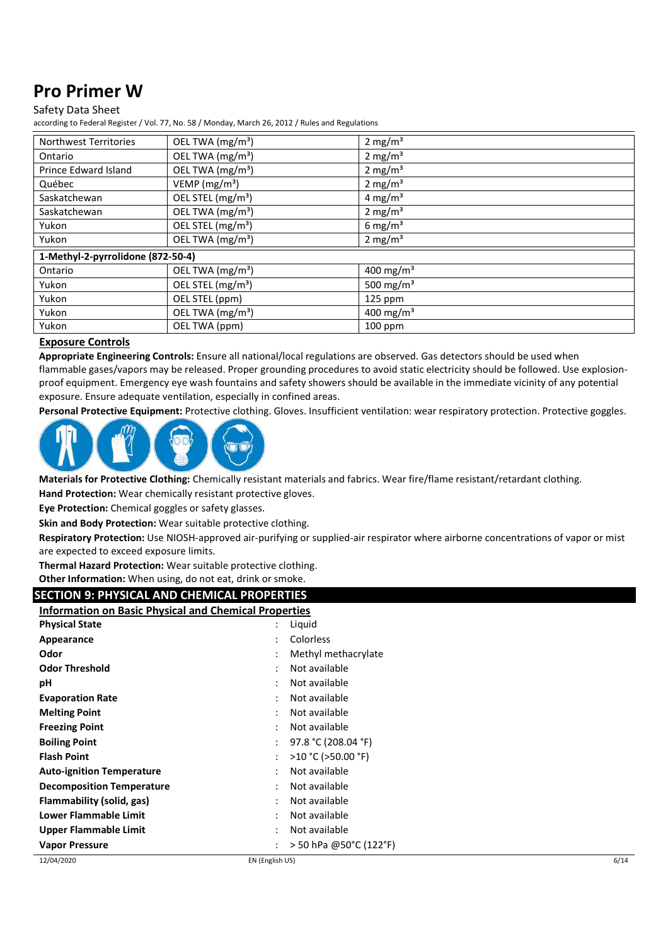### Safety Data Sheet

according to Federal Register / Vol. 77, No. 58 / Monday, March 26, 2012 / Rules and Regulations

| <b>Northwest Territories</b>      | OEL TWA (mg/m <sup>3</sup> )  | $2 \text{ mg/m}^3$    |
|-----------------------------------|-------------------------------|-----------------------|
| Ontario                           | OEL TWA (mg/m <sup>3</sup> )  | $2 \text{ mg/m}^3$    |
| Prince Edward Island              | OEL TWA (mg/m <sup>3</sup> )  | $2 \text{ mg/m}^3$    |
| Québec                            | VEMP ( $mg/m3$ )              | $2 \text{ mg/m}^3$    |
| Saskatchewan                      | OEL STEL (mg/m <sup>3</sup> ) | 4 mg/m <sup>3</sup>   |
| Saskatchewan                      | OEL TWA (mg/m <sup>3</sup> )  | $2 \text{ mg/m}^3$    |
| Yukon                             | OEL STEL (mg/m <sup>3</sup> ) | 6 mg/m <sup>3</sup>   |
| Yukon                             | OEL TWA $(mg/m3)$             | $2 \text{ mg/m}^3$    |
| 1-Methyl-2-pyrrolidone (872-50-4) |                               |                       |
| Ontario                           | OEL TWA (mg/m <sup>3</sup> )  | 400 mg/m <sup>3</sup> |
| Yukon                             | OEL STEL (mg/m <sup>3</sup> ) | 500 mg/m <sup>3</sup> |
| Yukon                             | OEL STEL (ppm)                | $125$ ppm             |
| Yukon                             | OEL TWA (mg/m <sup>3</sup> )  | 400 mg/m <sup>3</sup> |
| Yukon                             | OEL TWA (ppm)                 | $100$ ppm             |

#### **Exposure Controls**

**Appropriate Engineering Controls:** Ensure all national/local regulations are observed. Gas detectors should be used when flammable gases/vapors may be released. Proper grounding procedures to avoid static electricity should be followed. Use explosionproof equipment. Emergency eye wash fountains and safety showers should be available in the immediate vicinity of any potential exposure. Ensure adequate ventilation, especially in confined areas.

**Personal Protective Equipment:** Protective clothing. Gloves. Insufficient ventilation: wear respiratory protection. Protective goggles.



**Materials for Protective Clothing:** Chemically resistant materials and fabrics. Wear fire/flame resistant/retardant clothing. **Hand Protection:** Wear chemically resistant protective gloves.

**Eye Protection:** Chemical goggles or safety glasses.

**Skin and Body Protection:** Wear suitable protective clothing.

**Respiratory Protection:** Use NIOSH-approved air-purifying or supplied-air respirator where airborne concentrations of vapor or mist are expected to exceed exposure limits.

**Thermal Hazard Protection:** Wear suitable protective clothing.

**Other Information:** When using, do not eat, drink or smoke.

# **SECTION 9: PHYSICAL AND CHEMICAL PROPERTIES**

|                                  | <b>Information on Basic Physical and Chemical Properties</b> |                        |      |
|----------------------------------|--------------------------------------------------------------|------------------------|------|
| <b>Physical State</b>            |                                                              | Liquid                 |      |
| Appearance                       |                                                              | Colorless              |      |
| Odor                             |                                                              | Methyl methacrylate    |      |
| <b>Odor Threshold</b>            | ٠                                                            | Not available          |      |
| рH                               | ٠                                                            | Not available          |      |
| <b>Evaporation Rate</b>          | ٠                                                            | Not available          |      |
| <b>Melting Point</b>             | ٠                                                            | Not available          |      |
| <b>Freezing Point</b>            | ٠                                                            | Not available          |      |
| <b>Boiling Point</b>             |                                                              | 97.8 °C (208.04 °F)    |      |
| <b>Flash Point</b>               | ٠                                                            | >10 °C (>50.00 °F)     |      |
| <b>Auto-ignition Temperature</b> | ٠                                                            | Not available          |      |
| <b>Decomposition Temperature</b> | ٠                                                            | Not available          |      |
| Flammability (solid, gas)        |                                                              | Not available          |      |
| Lower Flammable Limit            | ٠                                                            | Not available          |      |
| Upper Flammable Limit            |                                                              | Not available          |      |
| <b>Vapor Pressure</b>            |                                                              | > 50 hPa @50°C (122°F) |      |
| 12/04/2020                       | EN (English US)                                              |                        | 6/14 |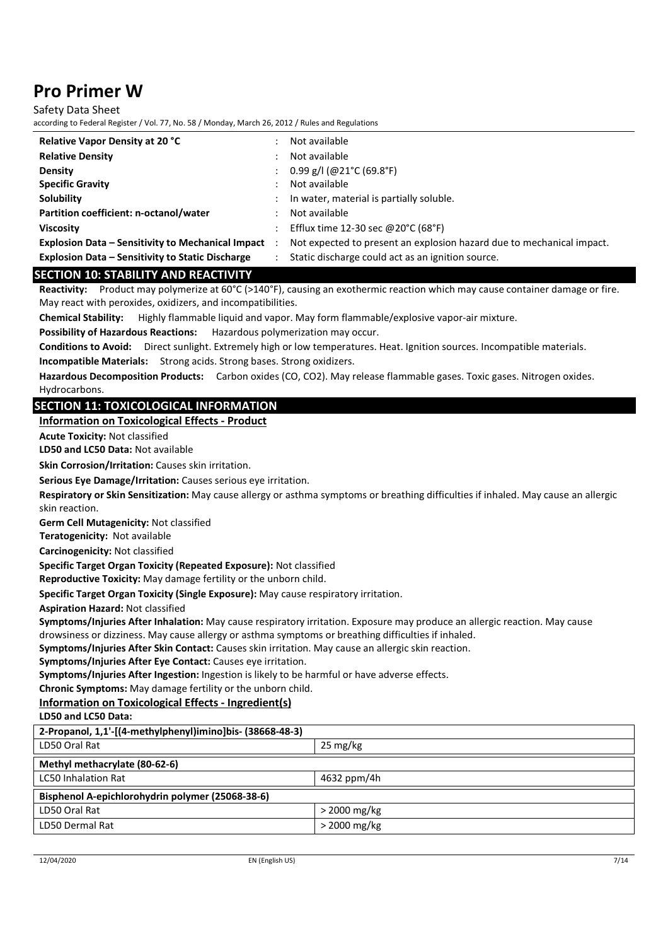Safety Data Sheet

according to Federal Register / Vol. 77, No. 58 / Monday, March 26, 2012 / Rules and Regulations

| <b>Relative Vapor Density at 20 °C</b>                   | Not available                                                         |
|----------------------------------------------------------|-----------------------------------------------------------------------|
| <b>Relative Density</b>                                  | Not available                                                         |
| <b>Density</b>                                           | $0.99$ g/l (@21°C (69.8°F)                                            |
| <b>Specific Gravity</b>                                  | Not available                                                         |
| Solubility                                               | In water, material is partially soluble.                              |
| Partition coefficient: n-octanol/water                   | Not available                                                         |
| <b>Viscosity</b>                                         | Efflux time 12-30 sec @20°C (68°F)                                    |
| <b>Explosion Data - Sensitivity to Mechanical Impact</b> | Not expected to present an explosion hazard due to mechanical impact. |
| <b>Explosion Data – Sensitivity to Static Discharge</b>  | Static discharge could act as an ignition source.                     |

### **SECTION 10: STABILITY AND REACTIVITY**

**Reactivity:** Product may polymerize at 60°C (>140°F), causing an exothermic reaction which may cause container damage or fire. May react with peroxides, oxidizers, and incompatibilities.

**Chemical Stability:** Highly flammable liquid and vapor. May form flammable/explosive vapor-air mixture.

**Possibility of Hazardous Reactions:** Hazardous polymerization may occur.

**Conditions to Avoid:** Direct sunlight. Extremely high or low temperatures. Heat. Ignition sources. Incompatible materials.

**Incompatible Materials:** Strong acids. Strong bases. Strong oxidizers.

**Hazardous Decomposition Products:** Carbon oxides (CO, CO2). May release flammable gases. Toxic gases. Nitrogen oxides. Hydrocarbons.

### **SECTION 11: TOXICOLOGICAL INFORMATION**

#### **Information on Toxicological Effects - Product**

**Acute Toxicity:** Not classified

**LD50 and LC50 Data:** Not available

**Skin Corrosion/Irritation:** Causes skin irritation.

**Serious Eye Damage/Irritation:** Causes serious eye irritation.

**Respiratory or Skin Sensitization:** May cause allergy or asthma symptoms or breathing difficulties if inhaled. May cause an allergic skin reaction.

**Germ Cell Mutagenicity:** Not classified

**Teratogenicity:** Not available

**Carcinogenicity:** Not classified

**Specific Target Organ Toxicity (Repeated Exposure):** Not classified

**Reproductive Toxicity:** May damage fertility or the unborn child.

**Specific Target Organ Toxicity (Single Exposure):** May cause respiratory irritation.

**Aspiration Hazard:** Not classified

**Symptoms/Injuries After Inhalation:** May cause respiratory irritation. Exposure may produce an allergic reaction. May cause drowsiness or dizziness. May cause allergy or asthma symptoms or breathing difficulties if inhaled.

**Symptoms/Injuries After Skin Contact:** Causes skin irritation. May cause an allergic skin reaction.

**Symptoms/Injuries After Eye Contact:** Causes eye irritation.

**Symptoms/Injuries After Ingestion:** Ingestion is likely to be harmful or have adverse effects.

**Chronic Symptoms:** May damage fertility or the unborn child.

**Information on Toxicological Effects - Ingredient(s)** 

**LD50 and LC50 Data:**

| 2-Propanol, 1,1'-[(4-methylphenyl)imino]bis- (38668-48-3) |                    |  |
|-----------------------------------------------------------|--------------------|--|
| LD50 Oral Rat                                             | $25 \text{ mg/kg}$ |  |
| Methyl methacrylate (80-62-6)                             |                    |  |
| LC50 Inhalation Rat                                       | 4632 ppm/4h        |  |
| Bisphenol A-epichlorohydrin polymer (25068-38-6)          |                    |  |
| LD50 Oral Rat                                             | $>$ 2000 mg/kg     |  |
| LD50 Dermal Rat                                           | $>$ 2000 mg/kg     |  |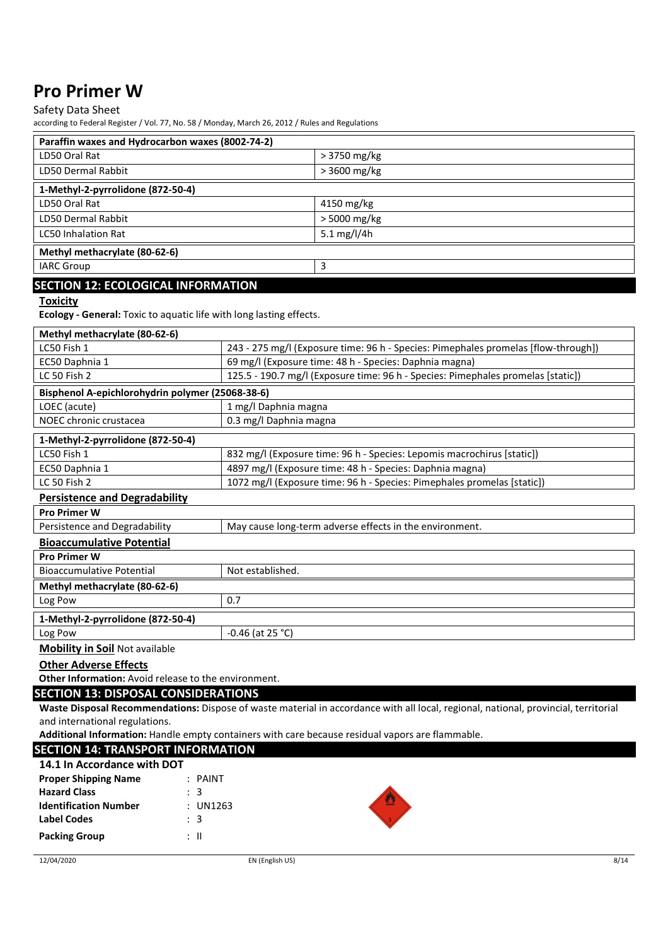### Safety Data Sheet

according to Federal Register / Vol. 77, No. 58 / Monday, March 26, 2012 / Rules and Regulations

| Paraffin waxes and Hydrocarbon waxes (8002-74-2) |               |  |  |
|--------------------------------------------------|---------------|--|--|
| LD50 Oral Rat                                    | $>3750$ mg/kg |  |  |
| LD50 Dermal Rabbit                               | > 3600 mg/kg  |  |  |
| 1-Methyl-2-pyrrolidone (872-50-4)                |               |  |  |
| LD50 Oral Rat                                    | 4150 mg/kg    |  |  |
| LD50 Dermal Rabbit                               | > 5000 mg/kg  |  |  |
| <b>LC50 Inhalation Rat</b><br>5.1 $mg/l/4h$      |               |  |  |
| Methyl methacrylate (80-62-6)                    |               |  |  |
| 3<br><b>IARC Group</b>                           |               |  |  |
| <b>SECTION 12: ECOLOGICAL INFORMATION</b>        |               |  |  |

#### **Toxicity**

**Ecology - General:** Toxic to aquatic life with long lasting effects.

| Methyl methacrylate (80-62-6)                                                                                                       |                                                                                    |  |
|-------------------------------------------------------------------------------------------------------------------------------------|------------------------------------------------------------------------------------|--|
| LC50 Fish 1                                                                                                                         | 243 - 275 mg/l (Exposure time: 96 h - Species: Pimephales promelas [flow-through]) |  |
| EC50 Daphnia 1                                                                                                                      | 69 mg/l (Exposure time: 48 h - Species: Daphnia magna)                             |  |
| LC 50 Fish 2                                                                                                                        | 125.5 - 190.7 mg/l (Exposure time: 96 h - Species: Pimephales promelas [static])   |  |
| Bisphenol A-epichlorohydrin polymer (25068-38-6)                                                                                    |                                                                                    |  |
| LOEC (acute)                                                                                                                        | 1 mg/l Daphnia magna                                                               |  |
| NOEC chronic crustacea                                                                                                              | 0.3 mg/l Daphnia magna                                                             |  |
| 1-Methyl-2-pyrrolidone (872-50-4)                                                                                                   |                                                                                    |  |
| LC50 Fish 1                                                                                                                         | 832 mg/l (Exposure time: 96 h - Species: Lepomis macrochirus [static])             |  |
| EC50 Daphnia 1                                                                                                                      | 4897 mg/l (Exposure time: 48 h - Species: Daphnia magna)                           |  |
| LC 50 Fish 2                                                                                                                        | 1072 mg/l (Exposure time: 96 h - Species: Pimephales promelas [static])            |  |
| <b>Persistence and Degradability</b>                                                                                                |                                                                                    |  |
| <b>Pro Primer W</b>                                                                                                                 |                                                                                    |  |
| Persistence and Degradability                                                                                                       | May cause long-term adverse effects in the environment.                            |  |
| <b>Bioaccumulative Potential</b>                                                                                                    |                                                                                    |  |
| <b>Pro Primer W</b>                                                                                                                 |                                                                                    |  |
| <b>Bioaccumulative Potential</b><br>Not established.                                                                                |                                                                                    |  |
| Methyl methacrylate (80-62-6)                                                                                                       |                                                                                    |  |
| Log Pow                                                                                                                             | 0.7                                                                                |  |
| 1-Methyl-2-pyrrolidone (872-50-4)                                                                                                   |                                                                                    |  |
| Log Pow                                                                                                                             | $-0.46$ (at 25 °C)                                                                 |  |
| <b>Mobility in Soil Not available</b>                                                                                               |                                                                                    |  |
| <b>Other Adverse Effects</b>                                                                                                        |                                                                                    |  |
| Other Information: Avoid release to the environment.                                                                                |                                                                                    |  |
| <b>SECTION 13: DISPOSAL CONSIDERATIONS</b>                                                                                          |                                                                                    |  |
| Waste Disposal Recommendations: Dispose of waste material in accordance with all local, regional, national, provincial, territorial |                                                                                    |  |
| and international regulations.                                                                                                      |                                                                                    |  |
| Additional Information: Handle empty containers with care because residual vapors are flammable.                                    |                                                                                    |  |
| <b>SECTION 14: TRANSPORT INFORMATION</b>                                                                                            |                                                                                    |  |
| $\ldots$ $\sim$                                                                                                                     |                                                                                    |  |

| 14.1 In Accordance with DOT  |                |   |
|------------------------------|----------------|---|
| <b>Proper Shipping Name</b>  | $:$ PAINT      |   |
| <b>Hazard Class</b>          | $\therefore$ 3 |   |
| <b>Identification Number</b> | : UN1263       | 四 |
| <b>Label Codes</b>           | $\therefore$ 3 |   |
| <b>Packing Group</b>         | ÷Ш             |   |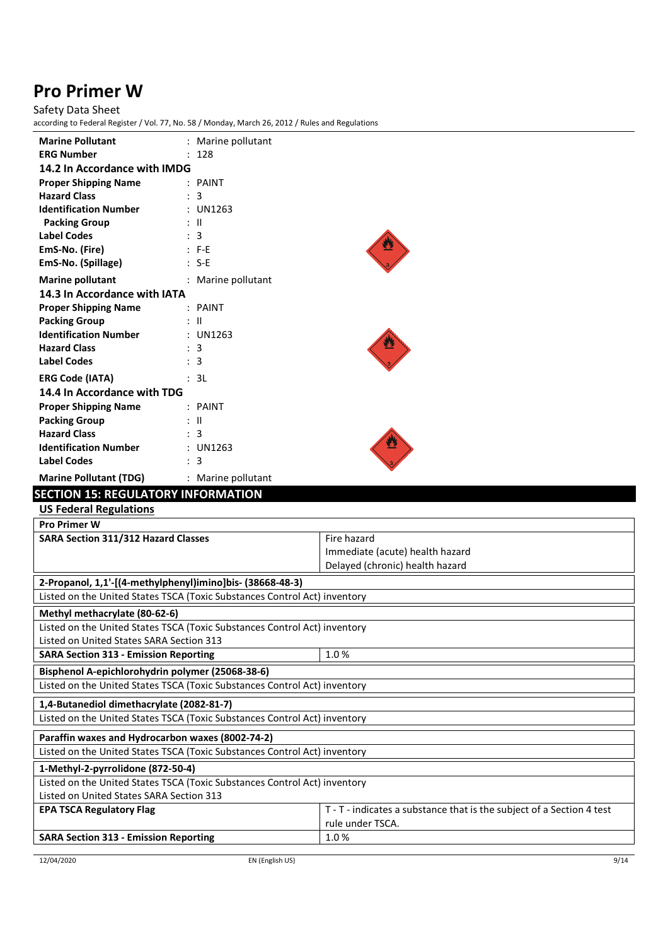# Safety Data Sheet

| <b>Marine Pollutant</b>                                                                                                                | : Marine pollutant |                                                                       |  |
|----------------------------------------------------------------------------------------------------------------------------------------|--------------------|-----------------------------------------------------------------------|--|
| <b>ERG Number</b>                                                                                                                      | : 128              |                                                                       |  |
| 14.2 In Accordance with IMDG                                                                                                           |                    |                                                                       |  |
| <b>Proper Shipping Name</b>                                                                                                            | : PAINT            |                                                                       |  |
| <b>Hazard Class</b>                                                                                                                    | : 3                |                                                                       |  |
| <b>Identification Number</b>                                                                                                           | : UN1263           |                                                                       |  |
| <b>Packing Group</b>                                                                                                                   | $:$ $\mathbb{I}$   |                                                                       |  |
| <b>Label Codes</b>                                                                                                                     | : 3                |                                                                       |  |
| EmS-No. (Fire)                                                                                                                         | $: F-E$            |                                                                       |  |
| EmS-No. (Spillage)                                                                                                                     | $: S-E$            |                                                                       |  |
| <b>Marine pollutant</b>                                                                                                                | : Marine pollutant |                                                                       |  |
| 14.3 In Accordance with IATA                                                                                                           |                    |                                                                       |  |
| <b>Proper Shipping Name</b>                                                                                                            | : PAINT            |                                                                       |  |
| <b>Packing Group</b>                                                                                                                   | $\mathbb{R}$ II    |                                                                       |  |
| <b>Identification Number</b>                                                                                                           | : UN1263           |                                                                       |  |
| <b>Hazard Class</b>                                                                                                                    | : 3                |                                                                       |  |
| <b>Label Codes</b>                                                                                                                     | : 3                |                                                                       |  |
| <b>ERG Code (IATA)</b>                                                                                                                 | : 3L               |                                                                       |  |
| 14.4 In Accordance with TDG                                                                                                            |                    |                                                                       |  |
| <b>Proper Shipping Name</b>                                                                                                            | : PAINT            |                                                                       |  |
| <b>Packing Group</b>                                                                                                                   | : II               |                                                                       |  |
| <b>Hazard Class</b>                                                                                                                    | : 3                |                                                                       |  |
| <b>Identification Number</b>                                                                                                           | : UN1263           |                                                                       |  |
| <b>Label Codes</b>                                                                                                                     | $\therefore$ 3     |                                                                       |  |
| <b>Marine Pollutant (TDG)</b>                                                                                                          | : Marine pollutant |                                                                       |  |
| <b>SECTION 15: REGULATORY INFORMATION</b>                                                                                              |                    |                                                                       |  |
| <b>US Federal Regulations</b>                                                                                                          |                    |                                                                       |  |
| <b>Pro Primer W</b>                                                                                                                    |                    |                                                                       |  |
| SARA Section 311/312 Hazard Classes                                                                                                    |                    | Fire hazard                                                           |  |
|                                                                                                                                        |                    | Immediate (acute) health hazard                                       |  |
|                                                                                                                                        |                    |                                                                       |  |
|                                                                                                                                        |                    | Delayed (chronic) health hazard                                       |  |
|                                                                                                                                        |                    |                                                                       |  |
| 2-Propanol, 1,1'-[(4-methylphenyl)imino]bis- (38668-48-3)<br>Listed on the United States TSCA (Toxic Substances Control Act) inventory |                    |                                                                       |  |
|                                                                                                                                        |                    |                                                                       |  |
| Methyl methacrylate (80-62-6)                                                                                                          |                    |                                                                       |  |
| Listed on the United States TSCA (Toxic Substances Control Act) inventory                                                              |                    |                                                                       |  |
| Listed on United States SARA Section 313                                                                                               |                    |                                                                       |  |
| <b>SARA Section 313 - Emission Reporting</b>                                                                                           |                    | 1.0%                                                                  |  |
| Bisphenol A-epichlorohydrin polymer (25068-38-6)                                                                                       |                    |                                                                       |  |
| Listed on the United States TSCA (Toxic Substances Control Act) inventory                                                              |                    |                                                                       |  |
| 1,4-Butanediol dimethacrylate (2082-81-7)                                                                                              |                    |                                                                       |  |
| Listed on the United States TSCA (Toxic Substances Control Act) inventory                                                              |                    |                                                                       |  |
| Paraffin waxes and Hydrocarbon waxes (8002-74-2)                                                                                       |                    |                                                                       |  |
| Listed on the United States TSCA (Toxic Substances Control Act) inventory                                                              |                    |                                                                       |  |
|                                                                                                                                        |                    |                                                                       |  |
| 1-Methyl-2-pyrrolidone (872-50-4)<br>Listed on the United States TSCA (Toxic Substances Control Act) inventory                         |                    |                                                                       |  |
| Listed on United States SARA Section 313                                                                                               |                    |                                                                       |  |
| <b>EPA TSCA Regulatory Flag</b>                                                                                                        |                    | T - T - indicates a substance that is the subject of a Section 4 test |  |
|                                                                                                                                        |                    | rule under TSCA.                                                      |  |
| <b>SARA Section 313 - Emission Reporting</b>                                                                                           |                    | 1.0%                                                                  |  |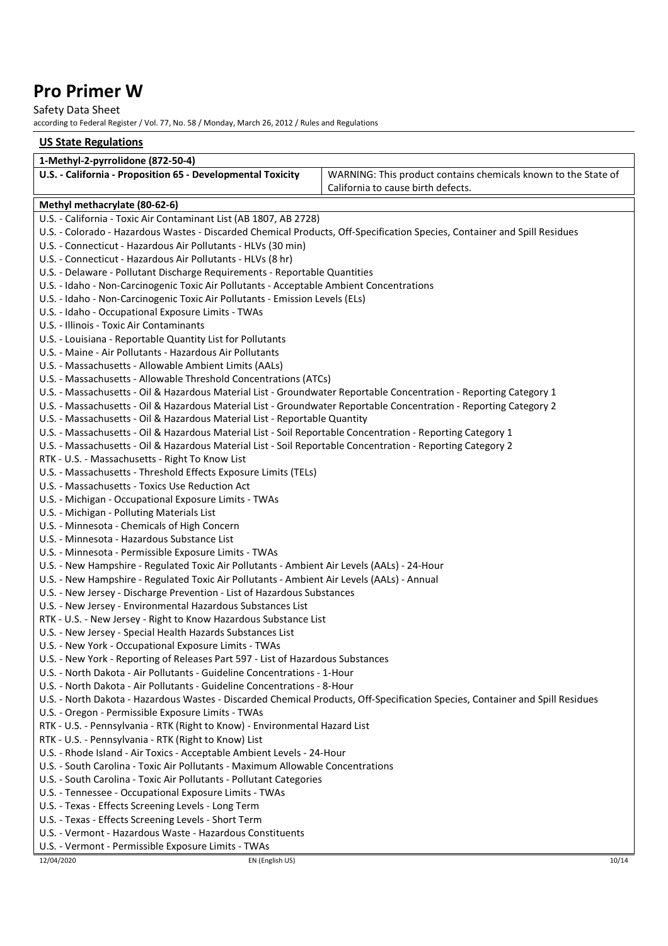### Safety Data Sheet

according to Federal Register / Vol. 77, No. 58 / Monday, March 26, 2012 / Rules and Regulations

### **US State Regulations**

| 1-Methyl-2-pyrrolidone (872-50-4)                                                                                             |                                                                |       |
|-------------------------------------------------------------------------------------------------------------------------------|----------------------------------------------------------------|-------|
| U.S. - California - Proposition 65 - Developmental Toxicity                                                                   | WARNING: This product contains chemicals known to the State of |       |
|                                                                                                                               | California to cause birth defects.                             |       |
| Methyl methacrylate (80-62-6)                                                                                                 |                                                                |       |
| U.S. - California - Toxic Air Contaminant List (AB 1807, AB 2728)                                                             |                                                                |       |
| U.S. - Colorado - Hazardous Wastes - Discarded Chemical Products, Off-Specification Species, Container and Spill Residues     |                                                                |       |
| U.S. - Connecticut - Hazardous Air Pollutants - HLVs (30 min)                                                                 |                                                                |       |
| U.S. - Connecticut - Hazardous Air Pollutants - HLVs (8 hr)                                                                   |                                                                |       |
| U.S. - Delaware - Pollutant Discharge Requirements - Reportable Quantities                                                    |                                                                |       |
| U.S. - Idaho - Non-Carcinogenic Toxic Air Pollutants - Acceptable Ambient Concentrations                                      |                                                                |       |
| U.S. - Idaho - Non-Carcinogenic Toxic Air Pollutants - Emission Levels (ELs)                                                  |                                                                |       |
| U.S. - Idaho - Occupational Exposure Limits - TWAs                                                                            |                                                                |       |
| U.S. - Illinois - Toxic Air Contaminants                                                                                      |                                                                |       |
| U.S. - Louisiana - Reportable Quantity List for Pollutants                                                                    |                                                                |       |
| U.S. - Maine - Air Pollutants - Hazardous Air Pollutants                                                                      |                                                                |       |
| U.S. - Massachusetts - Allowable Ambient Limits (AALs)                                                                        |                                                                |       |
| U.S. - Massachusetts - Allowable Threshold Concentrations (ATCs)                                                              |                                                                |       |
| U.S. - Massachusetts - Oil & Hazardous Material List - Groundwater Reportable Concentration - Reporting Category 1            |                                                                |       |
| U.S. - Massachusetts - Oil & Hazardous Material List - Groundwater Reportable Concentration - Reporting Category 2            |                                                                |       |
| U.S. - Massachusetts - Oil & Hazardous Material List - Reportable Quantity                                                    |                                                                |       |
| U.S. - Massachusetts - Oil & Hazardous Material List - Soil Reportable Concentration - Reporting Category 1                   |                                                                |       |
| U.S. - Massachusetts - Oil & Hazardous Material List - Soil Reportable Concentration - Reporting Category 2                   |                                                                |       |
| RTK - U.S. - Massachusetts - Right To Know List                                                                               |                                                                |       |
| U.S. - Massachusetts - Threshold Effects Exposure Limits (TELs)                                                               |                                                                |       |
| U.S. - Massachusetts - Toxics Use Reduction Act                                                                               |                                                                |       |
| U.S. - Michigan - Occupational Exposure Limits - TWAs                                                                         |                                                                |       |
| U.S. - Michigan - Polluting Materials List                                                                                    |                                                                |       |
| U.S. - Minnesota - Chemicals of High Concern                                                                                  |                                                                |       |
| U.S. - Minnesota - Hazardous Substance List                                                                                   |                                                                |       |
| U.S. - Minnesota - Permissible Exposure Limits - TWAs                                                                         |                                                                |       |
| U.S. - New Hampshire - Regulated Toxic Air Pollutants - Ambient Air Levels (AALs) - 24-Hour                                   |                                                                |       |
| U.S. - New Hampshire - Regulated Toxic Air Pollutants - Ambient Air Levels (AALs) - Annual                                    |                                                                |       |
| U.S. - New Jersey - Discharge Prevention - List of Hazardous Substances                                                       |                                                                |       |
| U.S. - New Jersey - Environmental Hazardous Substances List                                                                   |                                                                |       |
| RTK - U.S. - New Jersey - Right to Know Hazardous Substance List                                                              |                                                                |       |
| U.S. - New Jersey - Special Health Hazards Substances List                                                                    |                                                                |       |
| U.S. - New York - Occupational Exposure Limits - TWAs                                                                         |                                                                |       |
| U.S. - New York - Reporting of Releases Part 597 - List of Hazardous Substances                                               |                                                                |       |
| U.S. - North Dakota - Air Pollutants - Guideline Concentrations - 1-Hour                                                      |                                                                |       |
| U.S. - North Dakota - Air Pollutants - Guideline Concentrations - 8-Hour                                                      |                                                                |       |
| U.S. - North Dakota - Hazardous Wastes - Discarded Chemical Products, Off-Specification Species, Container and Spill Residues |                                                                |       |
| U.S. - Oregon - Permissible Exposure Limits - TWAs                                                                            |                                                                |       |
| RTK - U.S. - Pennsylvania - RTK (Right to Know) - Environmental Hazard List                                                   |                                                                |       |
| RTK - U.S. - Pennsylvania - RTK (Right to Know) List                                                                          |                                                                |       |
| U.S. - Rhode Island - Air Toxics - Acceptable Ambient Levels - 24-Hour                                                        |                                                                |       |
| U.S. - South Carolina - Toxic Air Pollutants - Maximum Allowable Concentrations                                               |                                                                |       |
| U.S. - South Carolina - Toxic Air Pollutants - Pollutant Categories                                                           |                                                                |       |
| U.S. - Tennessee - Occupational Exposure Limits - TWAs                                                                        |                                                                |       |
| U.S. - Texas - Effects Screening Levels - Long Term                                                                           |                                                                |       |
| U.S. - Texas - Effects Screening Levels - Short Term                                                                          |                                                                |       |
| U.S. - Vermont - Hazardous Waste - Hazardous Constituents                                                                     |                                                                |       |
| U.S. - Vermont - Permissible Exposure Limits - TWAs                                                                           |                                                                |       |
| 12/04/2020<br>EN (English US)                                                                                                 |                                                                | 10/14 |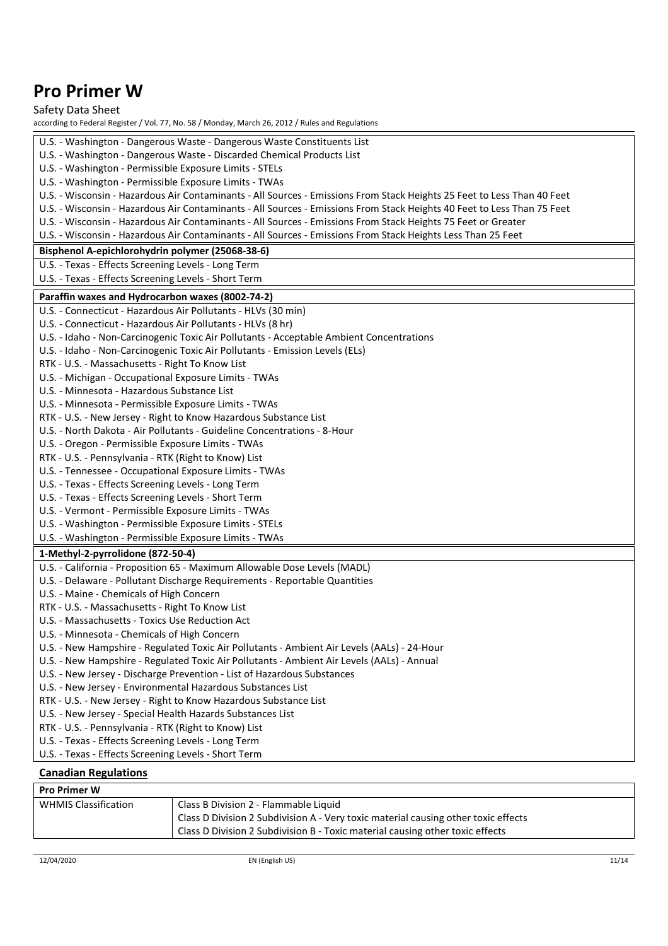| according to Federal Register / Vol. 77, No. 58 / Monday, March 26, 2012 / Rules and Regulations<br>U.S. - Washington - Dangerous Waste - Dangerous Waste Constituents List<br>U.S. - Washington - Dangerous Waste - Discarded Chemical Products List<br>U.S. - Washington - Permissible Exposure Limits - STELs<br>U.S. - Washington - Permissible Exposure Limits - TWAs<br>U.S. - Wisconsin - Hazardous Air Contaminants - All Sources - Emissions From Stack Heights 25 Feet to Less Than 40 Feet<br>U.S. - Wisconsin - Hazardous Air Contaminants - All Sources - Emissions From Stack Heights 40 Feet to Less Than 75 Feet<br>U.S. - Wisconsin - Hazardous Air Contaminants - All Sources - Emissions From Stack Heights 75 Feet or Greater<br>U.S. - Wisconsin - Hazardous Air Contaminants - All Sources - Emissions From Stack Heights Less Than 25 Feet<br>Bisphenol A-epichlorohydrin polymer (25068-38-6)<br>U.S. - Texas - Effects Screening Levels - Long Term<br>U.S. - Texas - Effects Screening Levels - Short Term<br>Paraffin waxes and Hydrocarbon waxes (8002-74-2)<br>U.S. - Connecticut - Hazardous Air Pollutants - HLVs (30 min)<br>U.S. - Connecticut - Hazardous Air Pollutants - HLVs (8 hr)<br>U.S. - Idaho - Non-Carcinogenic Toxic Air Pollutants - Acceptable Ambient Concentrations<br>U.S. - Idaho - Non-Carcinogenic Toxic Air Pollutants - Emission Levels (ELs)<br>RTK - U.S. - Massachusetts - Right To Know List<br>U.S. - Michigan - Occupational Exposure Limits - TWAs<br>U.S. - Minnesota - Hazardous Substance List<br>U.S. - Minnesota - Permissible Exposure Limits - TWAs<br>RTK - U.S. - New Jersey - Right to Know Hazardous Substance List<br>U.S. - North Dakota - Air Pollutants - Guideline Concentrations - 8-Hour<br>U.S. - Oregon - Permissible Exposure Limits - TWAs<br>RTK - U.S. - Pennsylvania - RTK (Right to Know) List<br>U.S. - Tennessee - Occupational Exposure Limits - TWAs<br>U.S. - Texas - Effects Screening Levels - Long Term<br>U.S. - Texas - Effects Screening Levels - Short Term<br>U.S. - Vermont - Permissible Exposure Limits - TWAs<br>U.S. - Washington - Permissible Exposure Limits - STELs<br>U.S. - Washington - Permissible Exposure Limits - TWAs<br>1-Methyl-2-pyrrolidone (872-50-4)<br>U.S. - California - Proposition 65 - Maximum Allowable Dose Levels (MADL)<br>U.S. - Delaware - Pollutant Discharge Requirements - Reportable Quantities<br>U.S. - Maine - Chemicals of High Concern<br>RTK - U.S. - Massachusetts - Right To Know List<br>U.S. - Massachusetts - Toxics Use Reduction Act<br>U.S. - Minnesota - Chemicals of High Concern<br>U.S. - New Hampshire - Regulated Toxic Air Pollutants - Ambient Air Levels (AALs) - 24-Hour<br>U.S. - New Hampshire - Regulated Toxic Air Pollutants - Ambient Air Levels (AALs) - Annual<br>U.S. - New Jersey - Discharge Prevention - List of Hazardous Substances<br>U.S. - New Jersey - Environmental Hazardous Substances List<br>RTK - U.S. - New Jersey - Right to Know Hazardous Substance List<br>U.S. - New Jersey - Special Health Hazards Substances List<br>RTK - U.S. - Pennsylvania - RTK (Right to Know) List<br>U.S. - Texas - Effects Screening Levels - Long Term<br>U.S. - Texas - Effects Screening Levels - Short Term | Safety Data Sheet |
|-----------------------------------------------------------------------------------------------------------------------------------------------------------------------------------------------------------------------------------------------------------------------------------------------------------------------------------------------------------------------------------------------------------------------------------------------------------------------------------------------------------------------------------------------------------------------------------------------------------------------------------------------------------------------------------------------------------------------------------------------------------------------------------------------------------------------------------------------------------------------------------------------------------------------------------------------------------------------------------------------------------------------------------------------------------------------------------------------------------------------------------------------------------------------------------------------------------------------------------------------------------------------------------------------------------------------------------------------------------------------------------------------------------------------------------------------------------------------------------------------------------------------------------------------------------------------------------------------------------------------------------------------------------------------------------------------------------------------------------------------------------------------------------------------------------------------------------------------------------------------------------------------------------------------------------------------------------------------------------------------------------------------------------------------------------------------------------------------------------------------------------------------------------------------------------------------------------------------------------------------------------------------------------------------------------------------------------------------------------------------------------------------------------------------------------------------------------------------------------------------------------------------------------------------------------------------------------------------------------------------------------------------------------------------------------------------------------------------------------------------------------------------------------------------------------------------------------------------------------------------------------------------------------------------------------------------------------------------------------------------------------------------------------------------------------------------------------------------------------------------------------------------------------------------------------------------------------------------------------------------------------------------------------------------|-------------------|
|                                                                                                                                                                                                                                                                                                                                                                                                                                                                                                                                                                                                                                                                                                                                                                                                                                                                                                                                                                                                                                                                                                                                                                                                                                                                                                                                                                                                                                                                                                                                                                                                                                                                                                                                                                                                                                                                                                                                                                                                                                                                                                                                                                                                                                                                                                                                                                                                                                                                                                                                                                                                                                                                                                                                                                                                                                                                                                                                                                                                                                                                                                                                                                                                                                                                                               |                   |
|                                                                                                                                                                                                                                                                                                                                                                                                                                                                                                                                                                                                                                                                                                                                                                                                                                                                                                                                                                                                                                                                                                                                                                                                                                                                                                                                                                                                                                                                                                                                                                                                                                                                                                                                                                                                                                                                                                                                                                                                                                                                                                                                                                                                                                                                                                                                                                                                                                                                                                                                                                                                                                                                                                                                                                                                                                                                                                                                                                                                                                                                                                                                                                                                                                                                                               |                   |
|                                                                                                                                                                                                                                                                                                                                                                                                                                                                                                                                                                                                                                                                                                                                                                                                                                                                                                                                                                                                                                                                                                                                                                                                                                                                                                                                                                                                                                                                                                                                                                                                                                                                                                                                                                                                                                                                                                                                                                                                                                                                                                                                                                                                                                                                                                                                                                                                                                                                                                                                                                                                                                                                                                                                                                                                                                                                                                                                                                                                                                                                                                                                                                                                                                                                                               |                   |
|                                                                                                                                                                                                                                                                                                                                                                                                                                                                                                                                                                                                                                                                                                                                                                                                                                                                                                                                                                                                                                                                                                                                                                                                                                                                                                                                                                                                                                                                                                                                                                                                                                                                                                                                                                                                                                                                                                                                                                                                                                                                                                                                                                                                                                                                                                                                                                                                                                                                                                                                                                                                                                                                                                                                                                                                                                                                                                                                                                                                                                                                                                                                                                                                                                                                                               |                   |
|                                                                                                                                                                                                                                                                                                                                                                                                                                                                                                                                                                                                                                                                                                                                                                                                                                                                                                                                                                                                                                                                                                                                                                                                                                                                                                                                                                                                                                                                                                                                                                                                                                                                                                                                                                                                                                                                                                                                                                                                                                                                                                                                                                                                                                                                                                                                                                                                                                                                                                                                                                                                                                                                                                                                                                                                                                                                                                                                                                                                                                                                                                                                                                                                                                                                                               |                   |
|                                                                                                                                                                                                                                                                                                                                                                                                                                                                                                                                                                                                                                                                                                                                                                                                                                                                                                                                                                                                                                                                                                                                                                                                                                                                                                                                                                                                                                                                                                                                                                                                                                                                                                                                                                                                                                                                                                                                                                                                                                                                                                                                                                                                                                                                                                                                                                                                                                                                                                                                                                                                                                                                                                                                                                                                                                                                                                                                                                                                                                                                                                                                                                                                                                                                                               |                   |
|                                                                                                                                                                                                                                                                                                                                                                                                                                                                                                                                                                                                                                                                                                                                                                                                                                                                                                                                                                                                                                                                                                                                                                                                                                                                                                                                                                                                                                                                                                                                                                                                                                                                                                                                                                                                                                                                                                                                                                                                                                                                                                                                                                                                                                                                                                                                                                                                                                                                                                                                                                                                                                                                                                                                                                                                                                                                                                                                                                                                                                                                                                                                                                                                                                                                                               |                   |
|                                                                                                                                                                                                                                                                                                                                                                                                                                                                                                                                                                                                                                                                                                                                                                                                                                                                                                                                                                                                                                                                                                                                                                                                                                                                                                                                                                                                                                                                                                                                                                                                                                                                                                                                                                                                                                                                                                                                                                                                                                                                                                                                                                                                                                                                                                                                                                                                                                                                                                                                                                                                                                                                                                                                                                                                                                                                                                                                                                                                                                                                                                                                                                                                                                                                                               |                   |
|                                                                                                                                                                                                                                                                                                                                                                                                                                                                                                                                                                                                                                                                                                                                                                                                                                                                                                                                                                                                                                                                                                                                                                                                                                                                                                                                                                                                                                                                                                                                                                                                                                                                                                                                                                                                                                                                                                                                                                                                                                                                                                                                                                                                                                                                                                                                                                                                                                                                                                                                                                                                                                                                                                                                                                                                                                                                                                                                                                                                                                                                                                                                                                                                                                                                                               |                   |
|                                                                                                                                                                                                                                                                                                                                                                                                                                                                                                                                                                                                                                                                                                                                                                                                                                                                                                                                                                                                                                                                                                                                                                                                                                                                                                                                                                                                                                                                                                                                                                                                                                                                                                                                                                                                                                                                                                                                                                                                                                                                                                                                                                                                                                                                                                                                                                                                                                                                                                                                                                                                                                                                                                                                                                                                                                                                                                                                                                                                                                                                                                                                                                                                                                                                                               |                   |
|                                                                                                                                                                                                                                                                                                                                                                                                                                                                                                                                                                                                                                                                                                                                                                                                                                                                                                                                                                                                                                                                                                                                                                                                                                                                                                                                                                                                                                                                                                                                                                                                                                                                                                                                                                                                                                                                                                                                                                                                                                                                                                                                                                                                                                                                                                                                                                                                                                                                                                                                                                                                                                                                                                                                                                                                                                                                                                                                                                                                                                                                                                                                                                                                                                                                                               |                   |
|                                                                                                                                                                                                                                                                                                                                                                                                                                                                                                                                                                                                                                                                                                                                                                                                                                                                                                                                                                                                                                                                                                                                                                                                                                                                                                                                                                                                                                                                                                                                                                                                                                                                                                                                                                                                                                                                                                                                                                                                                                                                                                                                                                                                                                                                                                                                                                                                                                                                                                                                                                                                                                                                                                                                                                                                                                                                                                                                                                                                                                                                                                                                                                                                                                                                                               |                   |
|                                                                                                                                                                                                                                                                                                                                                                                                                                                                                                                                                                                                                                                                                                                                                                                                                                                                                                                                                                                                                                                                                                                                                                                                                                                                                                                                                                                                                                                                                                                                                                                                                                                                                                                                                                                                                                                                                                                                                                                                                                                                                                                                                                                                                                                                                                                                                                                                                                                                                                                                                                                                                                                                                                                                                                                                                                                                                                                                                                                                                                                                                                                                                                                                                                                                                               |                   |
|                                                                                                                                                                                                                                                                                                                                                                                                                                                                                                                                                                                                                                                                                                                                                                                                                                                                                                                                                                                                                                                                                                                                                                                                                                                                                                                                                                                                                                                                                                                                                                                                                                                                                                                                                                                                                                                                                                                                                                                                                                                                                                                                                                                                                                                                                                                                                                                                                                                                                                                                                                                                                                                                                                                                                                                                                                                                                                                                                                                                                                                                                                                                                                                                                                                                                               |                   |
|                                                                                                                                                                                                                                                                                                                                                                                                                                                                                                                                                                                                                                                                                                                                                                                                                                                                                                                                                                                                                                                                                                                                                                                                                                                                                                                                                                                                                                                                                                                                                                                                                                                                                                                                                                                                                                                                                                                                                                                                                                                                                                                                                                                                                                                                                                                                                                                                                                                                                                                                                                                                                                                                                                                                                                                                                                                                                                                                                                                                                                                                                                                                                                                                                                                                                               |                   |
|                                                                                                                                                                                                                                                                                                                                                                                                                                                                                                                                                                                                                                                                                                                                                                                                                                                                                                                                                                                                                                                                                                                                                                                                                                                                                                                                                                                                                                                                                                                                                                                                                                                                                                                                                                                                                                                                                                                                                                                                                                                                                                                                                                                                                                                                                                                                                                                                                                                                                                                                                                                                                                                                                                                                                                                                                                                                                                                                                                                                                                                                                                                                                                                                                                                                                               |                   |
|                                                                                                                                                                                                                                                                                                                                                                                                                                                                                                                                                                                                                                                                                                                                                                                                                                                                                                                                                                                                                                                                                                                                                                                                                                                                                                                                                                                                                                                                                                                                                                                                                                                                                                                                                                                                                                                                                                                                                                                                                                                                                                                                                                                                                                                                                                                                                                                                                                                                                                                                                                                                                                                                                                                                                                                                                                                                                                                                                                                                                                                                                                                                                                                                                                                                                               |                   |
|                                                                                                                                                                                                                                                                                                                                                                                                                                                                                                                                                                                                                                                                                                                                                                                                                                                                                                                                                                                                                                                                                                                                                                                                                                                                                                                                                                                                                                                                                                                                                                                                                                                                                                                                                                                                                                                                                                                                                                                                                                                                                                                                                                                                                                                                                                                                                                                                                                                                                                                                                                                                                                                                                                                                                                                                                                                                                                                                                                                                                                                                                                                                                                                                                                                                                               |                   |
|                                                                                                                                                                                                                                                                                                                                                                                                                                                                                                                                                                                                                                                                                                                                                                                                                                                                                                                                                                                                                                                                                                                                                                                                                                                                                                                                                                                                                                                                                                                                                                                                                                                                                                                                                                                                                                                                                                                                                                                                                                                                                                                                                                                                                                                                                                                                                                                                                                                                                                                                                                                                                                                                                                                                                                                                                                                                                                                                                                                                                                                                                                                                                                                                                                                                                               |                   |
|                                                                                                                                                                                                                                                                                                                                                                                                                                                                                                                                                                                                                                                                                                                                                                                                                                                                                                                                                                                                                                                                                                                                                                                                                                                                                                                                                                                                                                                                                                                                                                                                                                                                                                                                                                                                                                                                                                                                                                                                                                                                                                                                                                                                                                                                                                                                                                                                                                                                                                                                                                                                                                                                                                                                                                                                                                                                                                                                                                                                                                                                                                                                                                                                                                                                                               |                   |
|                                                                                                                                                                                                                                                                                                                                                                                                                                                                                                                                                                                                                                                                                                                                                                                                                                                                                                                                                                                                                                                                                                                                                                                                                                                                                                                                                                                                                                                                                                                                                                                                                                                                                                                                                                                                                                                                                                                                                                                                                                                                                                                                                                                                                                                                                                                                                                                                                                                                                                                                                                                                                                                                                                                                                                                                                                                                                                                                                                                                                                                                                                                                                                                                                                                                                               |                   |
|                                                                                                                                                                                                                                                                                                                                                                                                                                                                                                                                                                                                                                                                                                                                                                                                                                                                                                                                                                                                                                                                                                                                                                                                                                                                                                                                                                                                                                                                                                                                                                                                                                                                                                                                                                                                                                                                                                                                                                                                                                                                                                                                                                                                                                                                                                                                                                                                                                                                                                                                                                                                                                                                                                                                                                                                                                                                                                                                                                                                                                                                                                                                                                                                                                                                                               |                   |
|                                                                                                                                                                                                                                                                                                                                                                                                                                                                                                                                                                                                                                                                                                                                                                                                                                                                                                                                                                                                                                                                                                                                                                                                                                                                                                                                                                                                                                                                                                                                                                                                                                                                                                                                                                                                                                                                                                                                                                                                                                                                                                                                                                                                                                                                                                                                                                                                                                                                                                                                                                                                                                                                                                                                                                                                                                                                                                                                                                                                                                                                                                                                                                                                                                                                                               |                   |
|                                                                                                                                                                                                                                                                                                                                                                                                                                                                                                                                                                                                                                                                                                                                                                                                                                                                                                                                                                                                                                                                                                                                                                                                                                                                                                                                                                                                                                                                                                                                                                                                                                                                                                                                                                                                                                                                                                                                                                                                                                                                                                                                                                                                                                                                                                                                                                                                                                                                                                                                                                                                                                                                                                                                                                                                                                                                                                                                                                                                                                                                                                                                                                                                                                                                                               |                   |
|                                                                                                                                                                                                                                                                                                                                                                                                                                                                                                                                                                                                                                                                                                                                                                                                                                                                                                                                                                                                                                                                                                                                                                                                                                                                                                                                                                                                                                                                                                                                                                                                                                                                                                                                                                                                                                                                                                                                                                                                                                                                                                                                                                                                                                                                                                                                                                                                                                                                                                                                                                                                                                                                                                                                                                                                                                                                                                                                                                                                                                                                                                                                                                                                                                                                                               |                   |
|                                                                                                                                                                                                                                                                                                                                                                                                                                                                                                                                                                                                                                                                                                                                                                                                                                                                                                                                                                                                                                                                                                                                                                                                                                                                                                                                                                                                                                                                                                                                                                                                                                                                                                                                                                                                                                                                                                                                                                                                                                                                                                                                                                                                                                                                                                                                                                                                                                                                                                                                                                                                                                                                                                                                                                                                                                                                                                                                                                                                                                                                                                                                                                                                                                                                                               |                   |
|                                                                                                                                                                                                                                                                                                                                                                                                                                                                                                                                                                                                                                                                                                                                                                                                                                                                                                                                                                                                                                                                                                                                                                                                                                                                                                                                                                                                                                                                                                                                                                                                                                                                                                                                                                                                                                                                                                                                                                                                                                                                                                                                                                                                                                                                                                                                                                                                                                                                                                                                                                                                                                                                                                                                                                                                                                                                                                                                                                                                                                                                                                                                                                                                                                                                                               |                   |
|                                                                                                                                                                                                                                                                                                                                                                                                                                                                                                                                                                                                                                                                                                                                                                                                                                                                                                                                                                                                                                                                                                                                                                                                                                                                                                                                                                                                                                                                                                                                                                                                                                                                                                                                                                                                                                                                                                                                                                                                                                                                                                                                                                                                                                                                                                                                                                                                                                                                                                                                                                                                                                                                                                                                                                                                                                                                                                                                                                                                                                                                                                                                                                                                                                                                                               |                   |
|                                                                                                                                                                                                                                                                                                                                                                                                                                                                                                                                                                                                                                                                                                                                                                                                                                                                                                                                                                                                                                                                                                                                                                                                                                                                                                                                                                                                                                                                                                                                                                                                                                                                                                                                                                                                                                                                                                                                                                                                                                                                                                                                                                                                                                                                                                                                                                                                                                                                                                                                                                                                                                                                                                                                                                                                                                                                                                                                                                                                                                                                                                                                                                                                                                                                                               |                   |
|                                                                                                                                                                                                                                                                                                                                                                                                                                                                                                                                                                                                                                                                                                                                                                                                                                                                                                                                                                                                                                                                                                                                                                                                                                                                                                                                                                                                                                                                                                                                                                                                                                                                                                                                                                                                                                                                                                                                                                                                                                                                                                                                                                                                                                                                                                                                                                                                                                                                                                                                                                                                                                                                                                                                                                                                                                                                                                                                                                                                                                                                                                                                                                                                                                                                                               |                   |
|                                                                                                                                                                                                                                                                                                                                                                                                                                                                                                                                                                                                                                                                                                                                                                                                                                                                                                                                                                                                                                                                                                                                                                                                                                                                                                                                                                                                                                                                                                                                                                                                                                                                                                                                                                                                                                                                                                                                                                                                                                                                                                                                                                                                                                                                                                                                                                                                                                                                                                                                                                                                                                                                                                                                                                                                                                                                                                                                                                                                                                                                                                                                                                                                                                                                                               |                   |
|                                                                                                                                                                                                                                                                                                                                                                                                                                                                                                                                                                                                                                                                                                                                                                                                                                                                                                                                                                                                                                                                                                                                                                                                                                                                                                                                                                                                                                                                                                                                                                                                                                                                                                                                                                                                                                                                                                                                                                                                                                                                                                                                                                                                                                                                                                                                                                                                                                                                                                                                                                                                                                                                                                                                                                                                                                                                                                                                                                                                                                                                                                                                                                                                                                                                                               |                   |
|                                                                                                                                                                                                                                                                                                                                                                                                                                                                                                                                                                                                                                                                                                                                                                                                                                                                                                                                                                                                                                                                                                                                                                                                                                                                                                                                                                                                                                                                                                                                                                                                                                                                                                                                                                                                                                                                                                                                                                                                                                                                                                                                                                                                                                                                                                                                                                                                                                                                                                                                                                                                                                                                                                                                                                                                                                                                                                                                                                                                                                                                                                                                                                                                                                                                                               |                   |
|                                                                                                                                                                                                                                                                                                                                                                                                                                                                                                                                                                                                                                                                                                                                                                                                                                                                                                                                                                                                                                                                                                                                                                                                                                                                                                                                                                                                                                                                                                                                                                                                                                                                                                                                                                                                                                                                                                                                                                                                                                                                                                                                                                                                                                                                                                                                                                                                                                                                                                                                                                                                                                                                                                                                                                                                                                                                                                                                                                                                                                                                                                                                                                                                                                                                                               |                   |
|                                                                                                                                                                                                                                                                                                                                                                                                                                                                                                                                                                                                                                                                                                                                                                                                                                                                                                                                                                                                                                                                                                                                                                                                                                                                                                                                                                                                                                                                                                                                                                                                                                                                                                                                                                                                                                                                                                                                                                                                                                                                                                                                                                                                                                                                                                                                                                                                                                                                                                                                                                                                                                                                                                                                                                                                                                                                                                                                                                                                                                                                                                                                                                                                                                                                                               |                   |
|                                                                                                                                                                                                                                                                                                                                                                                                                                                                                                                                                                                                                                                                                                                                                                                                                                                                                                                                                                                                                                                                                                                                                                                                                                                                                                                                                                                                                                                                                                                                                                                                                                                                                                                                                                                                                                                                                                                                                                                                                                                                                                                                                                                                                                                                                                                                                                                                                                                                                                                                                                                                                                                                                                                                                                                                                                                                                                                                                                                                                                                                                                                                                                                                                                                                                               |                   |
|                                                                                                                                                                                                                                                                                                                                                                                                                                                                                                                                                                                                                                                                                                                                                                                                                                                                                                                                                                                                                                                                                                                                                                                                                                                                                                                                                                                                                                                                                                                                                                                                                                                                                                                                                                                                                                                                                                                                                                                                                                                                                                                                                                                                                                                                                                                                                                                                                                                                                                                                                                                                                                                                                                                                                                                                                                                                                                                                                                                                                                                                                                                                                                                                                                                                                               |                   |
|                                                                                                                                                                                                                                                                                                                                                                                                                                                                                                                                                                                                                                                                                                                                                                                                                                                                                                                                                                                                                                                                                                                                                                                                                                                                                                                                                                                                                                                                                                                                                                                                                                                                                                                                                                                                                                                                                                                                                                                                                                                                                                                                                                                                                                                                                                                                                                                                                                                                                                                                                                                                                                                                                                                                                                                                                                                                                                                                                                                                                                                                                                                                                                                                                                                                                               |                   |
|                                                                                                                                                                                                                                                                                                                                                                                                                                                                                                                                                                                                                                                                                                                                                                                                                                                                                                                                                                                                                                                                                                                                                                                                                                                                                                                                                                                                                                                                                                                                                                                                                                                                                                                                                                                                                                                                                                                                                                                                                                                                                                                                                                                                                                                                                                                                                                                                                                                                                                                                                                                                                                                                                                                                                                                                                                                                                                                                                                                                                                                                                                                                                                                                                                                                                               |                   |
|                                                                                                                                                                                                                                                                                                                                                                                                                                                                                                                                                                                                                                                                                                                                                                                                                                                                                                                                                                                                                                                                                                                                                                                                                                                                                                                                                                                                                                                                                                                                                                                                                                                                                                                                                                                                                                                                                                                                                                                                                                                                                                                                                                                                                                                                                                                                                                                                                                                                                                                                                                                                                                                                                                                                                                                                                                                                                                                                                                                                                                                                                                                                                                                                                                                                                               |                   |
|                                                                                                                                                                                                                                                                                                                                                                                                                                                                                                                                                                                                                                                                                                                                                                                                                                                                                                                                                                                                                                                                                                                                                                                                                                                                                                                                                                                                                                                                                                                                                                                                                                                                                                                                                                                                                                                                                                                                                                                                                                                                                                                                                                                                                                                                                                                                                                                                                                                                                                                                                                                                                                                                                                                                                                                                                                                                                                                                                                                                                                                                                                                                                                                                                                                                                               |                   |
|                                                                                                                                                                                                                                                                                                                                                                                                                                                                                                                                                                                                                                                                                                                                                                                                                                                                                                                                                                                                                                                                                                                                                                                                                                                                                                                                                                                                                                                                                                                                                                                                                                                                                                                                                                                                                                                                                                                                                                                                                                                                                                                                                                                                                                                                                                                                                                                                                                                                                                                                                                                                                                                                                                                                                                                                                                                                                                                                                                                                                                                                                                                                                                                                                                                                                               |                   |
|                                                                                                                                                                                                                                                                                                                                                                                                                                                                                                                                                                                                                                                                                                                                                                                                                                                                                                                                                                                                                                                                                                                                                                                                                                                                                                                                                                                                                                                                                                                                                                                                                                                                                                                                                                                                                                                                                                                                                                                                                                                                                                                                                                                                                                                                                                                                                                                                                                                                                                                                                                                                                                                                                                                                                                                                                                                                                                                                                                                                                                                                                                                                                                                                                                                                                               |                   |
|                                                                                                                                                                                                                                                                                                                                                                                                                                                                                                                                                                                                                                                                                                                                                                                                                                                                                                                                                                                                                                                                                                                                                                                                                                                                                                                                                                                                                                                                                                                                                                                                                                                                                                                                                                                                                                                                                                                                                                                                                                                                                                                                                                                                                                                                                                                                                                                                                                                                                                                                                                                                                                                                                                                                                                                                                                                                                                                                                                                                                                                                                                                                                                                                                                                                                               |                   |
|                                                                                                                                                                                                                                                                                                                                                                                                                                                                                                                                                                                                                                                                                                                                                                                                                                                                                                                                                                                                                                                                                                                                                                                                                                                                                                                                                                                                                                                                                                                                                                                                                                                                                                                                                                                                                                                                                                                                                                                                                                                                                                                                                                                                                                                                                                                                                                                                                                                                                                                                                                                                                                                                                                                                                                                                                                                                                                                                                                                                                                                                                                                                                                                                                                                                                               |                   |
|                                                                                                                                                                                                                                                                                                                                                                                                                                                                                                                                                                                                                                                                                                                                                                                                                                                                                                                                                                                                                                                                                                                                                                                                                                                                                                                                                                                                                                                                                                                                                                                                                                                                                                                                                                                                                                                                                                                                                                                                                                                                                                                                                                                                                                                                                                                                                                                                                                                                                                                                                                                                                                                                                                                                                                                                                                                                                                                                                                                                                                                                                                                                                                                                                                                                                               |                   |
|                                                                                                                                                                                                                                                                                                                                                                                                                                                                                                                                                                                                                                                                                                                                                                                                                                                                                                                                                                                                                                                                                                                                                                                                                                                                                                                                                                                                                                                                                                                                                                                                                                                                                                                                                                                                                                                                                                                                                                                                                                                                                                                                                                                                                                                                                                                                                                                                                                                                                                                                                                                                                                                                                                                                                                                                                                                                                                                                                                                                                                                                                                                                                                                                                                                                                               |                   |

### **Canadian Regulations**

| <b>Pro Primer W</b>         |                                                                                    |  |
|-----------------------------|------------------------------------------------------------------------------------|--|
| <b>WHMIS Classification</b> | Class B Division 2 - Flammable Liquid                                              |  |
|                             | Class D Division 2 Subdivision A - Very toxic material causing other toxic effects |  |
|                             | Class D Division 2 Subdivision B - Toxic material causing other toxic effects      |  |
|                             |                                                                                    |  |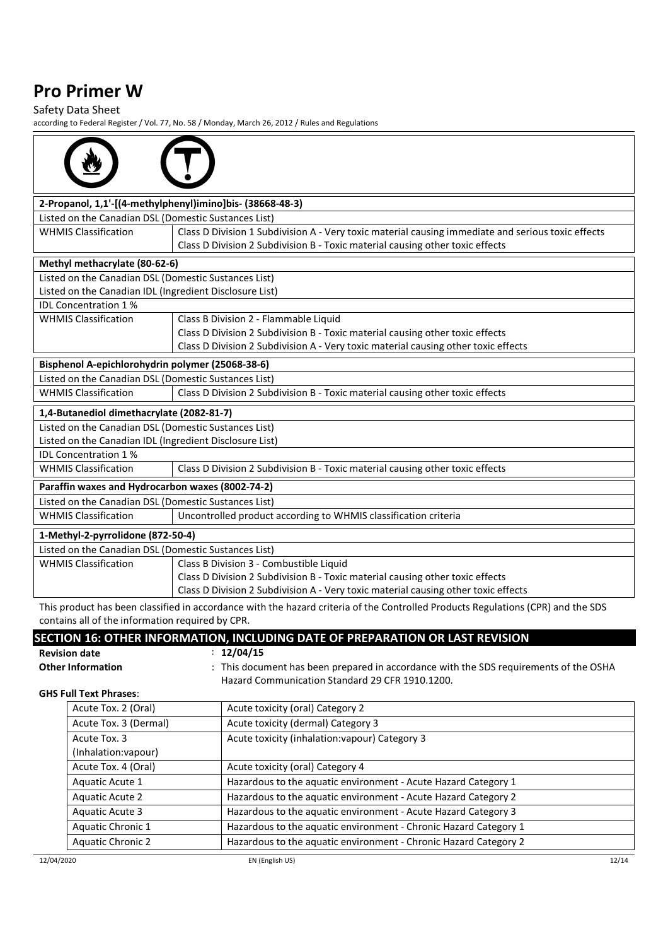### Safety Data Sheet

| 2-Propanol, 1,1'-[(4-methylphenyl)imino]bis- (38668-48-3) |                                                                                                                                  |
|-----------------------------------------------------------|----------------------------------------------------------------------------------------------------------------------------------|
| Listed on the Canadian DSL (Domestic Sustances List)      |                                                                                                                                  |
| <b>WHMIS Classification</b>                               | Class D Division 1 Subdivision A - Very toxic material causing immediate and serious toxic effects                               |
|                                                           | Class D Division 2 Subdivision B - Toxic material causing other toxic effects                                                    |
| Methyl methacrylate (80-62-6)                             |                                                                                                                                  |
| Listed on the Canadian DSL (Domestic Sustances List)      |                                                                                                                                  |
| Listed on the Canadian IDL (Ingredient Disclosure List)   |                                                                                                                                  |
| <b>IDL Concentration 1%</b>                               |                                                                                                                                  |
| <b>WHMIS Classification</b>                               | Class B Division 2 - Flammable Liquid                                                                                            |
|                                                           | Class D Division 2 Subdivision B - Toxic material causing other toxic effects                                                    |
|                                                           | Class D Division 2 Subdivision A - Very toxic material causing other toxic effects                                               |
| Bisphenol A-epichlorohydrin polymer (25068-38-6)          |                                                                                                                                  |
| Listed on the Canadian DSL (Domestic Sustances List)      |                                                                                                                                  |
| <b>WHMIS Classification</b>                               | Class D Division 2 Subdivision B - Toxic material causing other toxic effects                                                    |
| 1,4-Butanediol dimethacrylate (2082-81-7)                 |                                                                                                                                  |
| Listed on the Canadian DSL (Domestic Sustances List)      |                                                                                                                                  |
| Listed on the Canadian IDL (Ingredient Disclosure List)   |                                                                                                                                  |
| <b>IDL Concentration 1%</b>                               |                                                                                                                                  |
| <b>WHMIS Classification</b>                               | Class D Division 2 Subdivision B - Toxic material causing other toxic effects                                                    |
| Paraffin waxes and Hydrocarbon waxes (8002-74-2)          |                                                                                                                                  |
| Listed on the Canadian DSL (Domestic Sustances List)      |                                                                                                                                  |
| <b>WHMIS Classification</b>                               | Uncontrolled product according to WHMIS classification criteria                                                                  |
| 1-Methyl-2-pyrrolidone (872-50-4)                         |                                                                                                                                  |
| Listed on the Canadian DSL (Domestic Sustances List)      |                                                                                                                                  |
| <b>WHMIS Classification</b>                               | Class B Division 3 - Combustible Liquid                                                                                          |
|                                                           | Class D Division 2 Subdivision B - Toxic material causing other toxic effects                                                    |
|                                                           | Class D Division 2 Subdivision A - Very toxic material causing other toxic effects                                               |
|                                                           | This product has been classified in accordance with the hazard criteria of the Controlled Products Regulations (CPR) and the SDS |
| contains all of the information required by CPR.          |                                                                                                                                  |
|                                                           | SECTION 16: OTHER INFORMATION, INCLUDING DATE OF PREPARATION OR LAST REVISION                                                    |
| <b>Revision date</b>                                      | : 12/04/15                                                                                                                       |
| <b>Other Information</b>                                  | This document has been prepared in accordance with the SDS requirements of the OSHA                                              |
| <b>GHS Full Text Phrases:</b>                             | Hazard Communication Standard 29 CFR 1910.1200.                                                                                  |
| Acute Tox. 2 (Oral)                                       | Acute toxicity (oral) Category 2                                                                                                 |
| Acute Tox. 3 (Dermal)                                     | Acute toxicity (dermal) Category 3                                                                                               |
| Acute Tox. 3                                              | Acute toxicity (inhalation: vapour) Category 3                                                                                   |
| (Inhalation: vapour)                                      |                                                                                                                                  |
| Acute Tox. 4 (Oral)                                       | Acute toxicity (oral) Category 4                                                                                                 |
| Aquatic Acute 1                                           | Hazardous to the aquatic environment - Acute Hazard Category 1                                                                   |
| <b>Aquatic Acute 2</b>                                    | Hazardous to the aquatic environment - Acute Hazard Category 2                                                                   |
| <b>Aquatic Acute 3</b>                                    | Hazardous to the aquatic environment - Acute Hazard Category 3                                                                   |
| Aquatic Chronic 1                                         | Hazardous to the aquatic environment - Chronic Hazard Category 1                                                                 |
| <b>Aquatic Chronic 2</b>                                  | Hazardous to the aquatic environment - Chronic Hazard Category 2                                                                 |
|                                                           |                                                                                                                                  |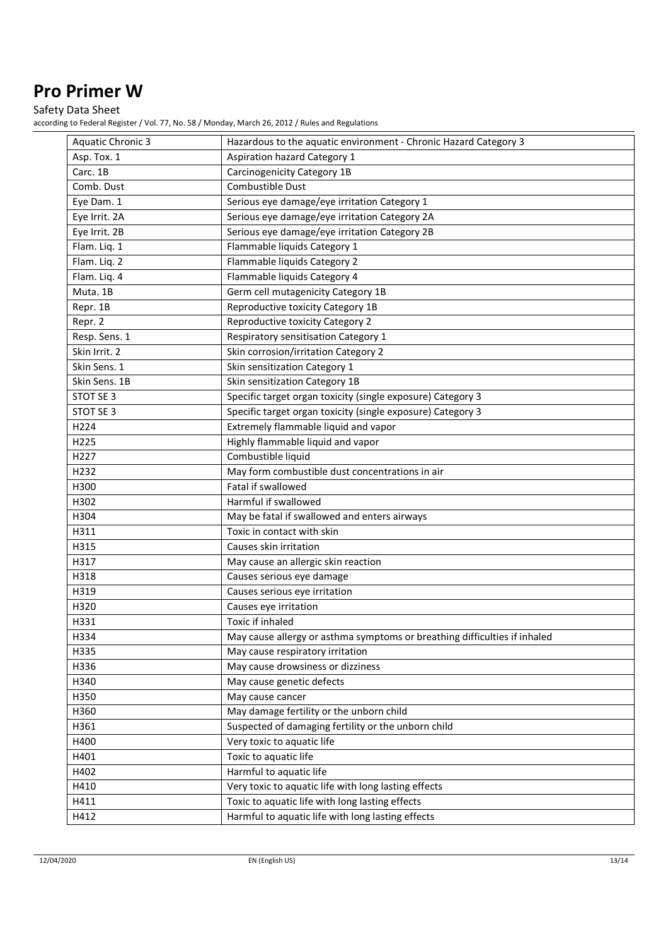Safety Data Sheet

| <b>Aquatic Chronic 3</b> | Hazardous to the aquatic environment - Chronic Hazard Category 3          |
|--------------------------|---------------------------------------------------------------------------|
| Asp. Tox. 1              | <b>Aspiration hazard Category 1</b>                                       |
| Carc. 1B                 | Carcinogenicity Category 1B                                               |
| Comb. Dust               | Combustible Dust                                                          |
| Eye Dam. 1               | Serious eye damage/eye irritation Category 1                              |
| Eye Irrit. 2A            | Serious eye damage/eye irritation Category 2A                             |
| Eye Irrit. 2B            | Serious eye damage/eye irritation Category 2B                             |
| Flam. Liq. 1             | Flammable liquids Category 1                                              |
| Flam. Liq. 2             | Flammable liquids Category 2                                              |
| Flam. Lig. 4             | Flammable liquids Category 4                                              |
| Muta. 1B                 | Germ cell mutagenicity Category 1B                                        |
| Repr. 1B                 | Reproductive toxicity Category 1B                                         |
| Repr. 2                  | Reproductive toxicity Category 2                                          |
| Resp. Sens. 1            | Respiratory sensitisation Category 1                                      |
| Skin Irrit. 2            | Skin corrosion/irritation Category 2                                      |
| Skin Sens. 1             | Skin sensitization Category 1                                             |
| Skin Sens. 1B            | Skin sensitization Category 1B                                            |
| STOT SE 3                | Specific target organ toxicity (single exposure) Category 3               |
| STOT SE 3                | Specific target organ toxicity (single exposure) Category 3               |
| H224                     | Extremely flammable liquid and vapor                                      |
| H225                     | Highly flammable liquid and vapor                                         |
| H227                     | Combustible liquid                                                        |
| H232                     | May form combustible dust concentrations in air                           |
| H300                     | Fatal if swallowed                                                        |
| H302                     | Harmful if swallowed                                                      |
| H304                     | May be fatal if swallowed and enters airways                              |
| H311                     | Toxic in contact with skin                                                |
| H315                     | Causes skin irritation                                                    |
| H317                     | May cause an allergic skin reaction                                       |
| H318                     | Causes serious eye damage                                                 |
| H319                     | Causes serious eye irritation                                             |
| H320                     | Causes eye irritation                                                     |
| H331                     | Toxic if inhaled                                                          |
| H334                     | May cause allergy or asthma symptoms or breathing difficulties if inhaled |
| H335                     | May cause respiratory irritation                                          |
| H336                     | May cause drowsiness or dizziness                                         |
| H340                     | May cause genetic defects                                                 |
| H350                     | May cause cancer                                                          |
| H360                     | May damage fertility or the unborn child                                  |
| H361                     | Suspected of damaging fertility or the unborn child                       |
| H400                     | Very toxic to aquatic life                                                |
| H401                     | Toxic to aquatic life                                                     |
| H402                     | Harmful to aquatic life                                                   |
| H410                     | Very toxic to aquatic life with long lasting effects                      |
| H411                     | Toxic to aquatic life with long lasting effects                           |
| H412                     | Harmful to aquatic life with long lasting effects                         |
|                          |                                                                           |